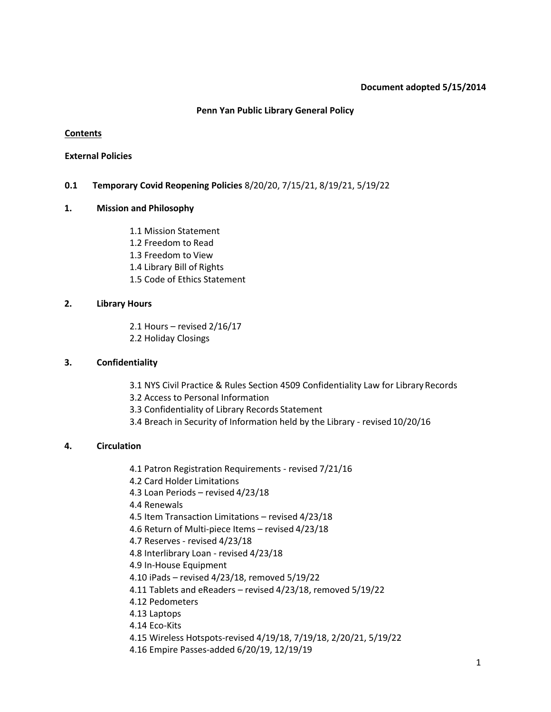#### **Document adopted 5/15/2014**

#### **Penn Yan Public Library General Policy**

#### **Contents**

#### **External Policies**

#### **0.1 Temporary Covid Reopening Policies** 8/20/20, 7/15/21, 8/19/21, 5/19/22

#### **1. Mission and Philosophy**

1.1 Mission Statement 1.2 Freedom to Read 1.3 Freedom to View 1.4 Library Bill of Rights 1.5 Code of Ethics Statement

#### **2. Library Hours**

2.1 Hours – revised 2/16/17 2.2 Holiday Closings

#### **3. Confidentiality**

- 3.1 NYS Civil Practice & Rules Section 4509 Confidentiality Law for LibraryRecords
- 3.2 Access to Personal Information
- 3.3 Confidentiality of Library Records Statement
- 3.4 Breach in Security of Information held by the Library revised 10/20/16

## **4. Circulation**

- 4.1 Patron Registration Requirements revised 7/21/16
- 4.2 Card Holder Limitations
- 4.3 Loan Periods revised 4/23/18
- 4.4 Renewals
- 4.5 Item Transaction Limitations revised 4/23/18
- 4.6 Return of Multi-piece Items revised 4/23/18
- 4.7 Reserves revised 4/23/18
- 4.8 Interlibrary Loan revised 4/23/18
- 4.9 In-House Equipment
- 4.10 iPads revised 4/23/18, removed 5/19/22
- 4.11 Tablets and eReaders revised 4/23/18, removed 5/19/22
- 4.12 Pedometers
- 4.13 Laptops
- 4.14 Eco-Kits
- 4.15 Wireless Hotspots-revised 4/19/18, 7/19/18, 2/20/21, 5/19/22
- 4.16 Empire Passes-added 6/20/19, 12/19/19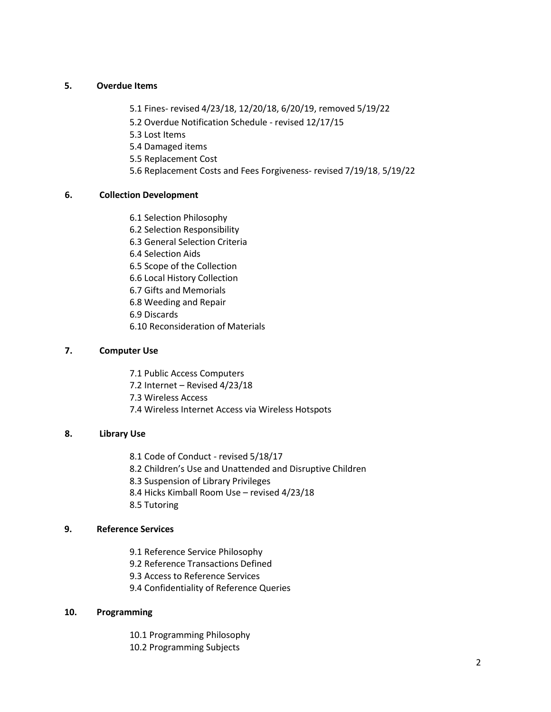## **5. Overdue Items**

- 5.1 Fines- revised 4/23/18, 12/20/18, 6/20/19, removed 5/19/22
- 5.2 Overdue Notification Schedule revised 12/17/15
- 5.3 Lost Items
- 5.4 Damaged items
- 5.5 Replacement Cost
- 5.6 Replacement Costs and Fees Forgiveness- revised 7/19/18, 5/19/22

## **6. Collection Development**

- 6.1 Selection Philosophy
- 6.2 Selection Responsibility
- 6.3 General Selection Criteria
- 6.4 Selection Aids
- 6.5 Scope of the Collection
- 6.6 Local History Collection
- 6.7 Gifts and Memorials
- 6.8 Weeding and Repair
- 6.9 Discards
- 6.10 Reconsideration of Materials

## **7. Computer Use**

- 7.1 Public Access Computers
- 7.2 Internet Revised 4/23/18
- 7.3 Wireless Access
- 7.4 Wireless Internet Access via Wireless Hotspots

#### **8. Library Use**

- 8.1 Code of Conduct revised 5/18/17
- 8.2 Children's Use and Unattended and Disruptive Children
- 8.3 Suspension of Library Privileges
- 8.4 Hicks Kimball Room Use revised 4/23/18
- 8.5 Tutoring

## **9. Reference Services**

- 9.1 Reference Service Philosophy
- 9.2 Reference Transactions Defined
- 9.3 Access to Reference Services
- 9.4 Confidentiality of Reference Queries

#### **10. Programming**

- 10.1 Programming Philosophy
- 10.2 Programming Subjects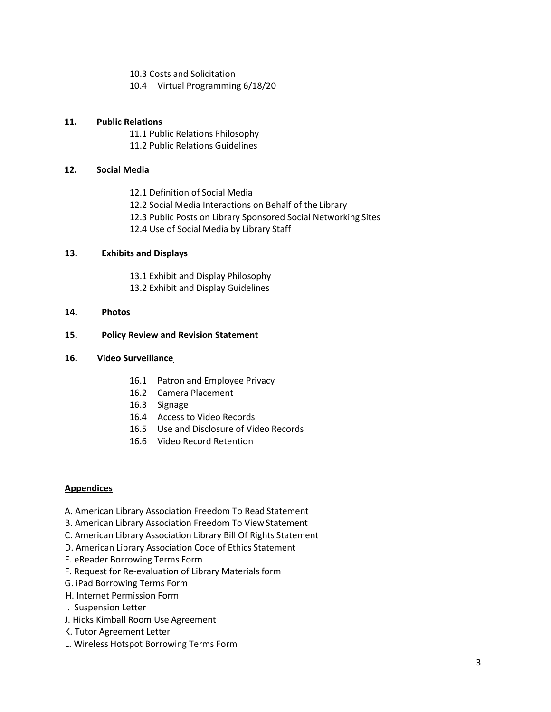10.3 Costs and Solicitation 10.4 Virtual Programming 6/18/20

## **11. Public Relations**

11.1 Public Relations Philosophy 11.2 Public Relations Guidelines

## **12. Social Media**

12.1 Definition of Social Media

12.2 Social Media Interactions on Behalf of the Library

12.3 Public Posts on Library Sponsored Social Networking Sites

12.4 Use of Social Media by Library Staff

## **13. Exhibits and Displays**

- 13.1 Exhibit and Display Philosophy
- 13.2 Exhibit and Display Guidelines

## **14. Photos**

## **15. Policy Review and Revision Statement**

#### **16. Video Surveillance**

- 16.1 Patron and Employee Privacy
- 16.2 Camera Placement
- 16.3 Signage
- 16.4 Access to Video Records
- 16.5 Use and Disclosure of Video Records
- 16.6 Video Record Retention

## **Appendices**

- A. American Library Association Freedom To Read Statement
- B. American Library Association Freedom To ViewStatement
- C. American Library Association Library Bill Of Rights Statement
- D. American Library Association Code of Ethics Statement
- E. eReader Borrowing Terms Form
- F. Request for Re-evaluation of Library Materials form
- G. iPad Borrowing Terms Form
- H. Internet Permission Form
- I. Suspension Letter
- J. Hicks Kimball Room Use Agreement
- K. Tutor Agreement Letter
- L. Wireless Hotspot Borrowing Terms Form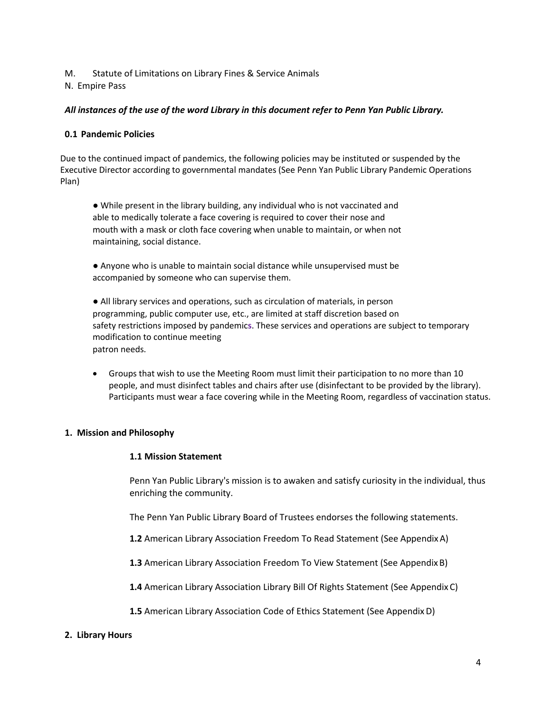M. Statute of Limitations on Library Fines & Service Animals

N. Empire Pass

#### *All instances of the use of the word Library in this document refer to Penn Yan Public Library.*

#### **0.1 Pandemic Policies**

Due to the continued impact of pandemics, the following policies may be instituted or suspended by the Executive Director according to governmental mandates (See Penn Yan Public Library Pandemic Operations Plan)

● While present in the library building, any individual who is not vaccinated and able to medically tolerate a face covering is required to cover their nose and mouth with a mask or cloth face covering when unable to maintain, or when not maintaining, social distance.

● Anyone who is unable to maintain social distance while unsupervised must be accompanied by someone who can supervise them.

● All library services and operations, such as circulation of materials, in person programming, public computer use, etc., are limited at staff discretion based on safety restrictions imposed by pandemic**s**. These services and operations are subject to temporary modification to continue meeting patron needs.

• Groups that wish to use the Meeting Room must limit their participation to no more than 10 people, and must disinfect tables and chairs after use (disinfectant to be provided by the library). Participants must wear a face covering while in the Meeting Room, regardless of vaccination status.

#### **1. Mission and Philosophy**

#### **1.1 Mission Statement**

Penn Yan Public Library's mission is to awaken and satisfy curiosity in the individual, thus enriching the community.

The Penn Yan Public Library Board of Trustees endorses the following statements.

**1.2** American Library Association Freedom To Read Statement (See AppendixA)

**1.3** American Library Association Freedom To View Statement (See AppendixB)

**1.4** American Library Association Library Bill Of Rights Statement (See Appendix C)

**1.5** American Library Association Code of Ethics Statement (See AppendixD)

#### **2. Library Hours**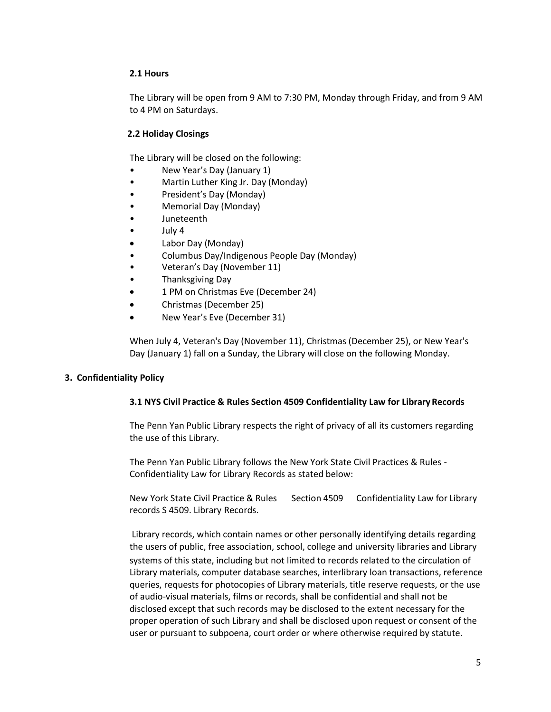## **2.1 Hours**

The Library will be open from 9 AM to 7:30 PM, Monday through Friday, and from 9 AM to 4 PM on Saturdays.

## **2.2 Holiday Closings**

The Library will be closed on the following:

- New Year's Day (January 1)
- Martin Luther King Jr. Day (Monday)
- President's Day (Monday)
- Memorial Day (Monday)
- Juneteenth
- July 4
- Labor Day (Monday)
- Columbus Day/Indigenous People Day (Monday)
- Veteran's Day (November 11)
- Thanksgiving Day
- 1 PM on Christmas Eve (December 24)
- Christmas (December 25)
- New Year's Eve (December 31)

When July 4, Veteran's Day (November 11), Christmas (December 25), or New Year's Day (January 1) fall on a Sunday, the Library will close on the following Monday.

#### **3. Confidentiality Policy**

#### **3.1 NYS Civil Practice & Rules Section 4509 Confidentiality Law for LibraryRecords**

The Penn Yan Public Library respects the right of privacy of all its customers regarding the use of this Library.

The Penn Yan Public Library follows the New York State Civil Practices & Rules - Confidentiality Law for Library Records as stated below:

New York State Civil Practice & Rules Section 4509 Confidentiality Law for Library records S 4509. Library Records.

Library records, which contain names or other personally identifying details regarding the users of public, free association, school, college and university libraries and Library systems of this state, including but not limited to records related to the circulation of Library materials, computer database searches, interlibrary loan transactions, reference queries, requests for photocopies of Library materials, title reserve requests, or the use of audio-visual materials, films or records, shall be confidential and shall not be disclosed except that such records may be disclosed to the extent necessary for the proper operation of such Library and shall be disclosed upon request or consent of the user or pursuant to subpoena, court order or where otherwise required by statute.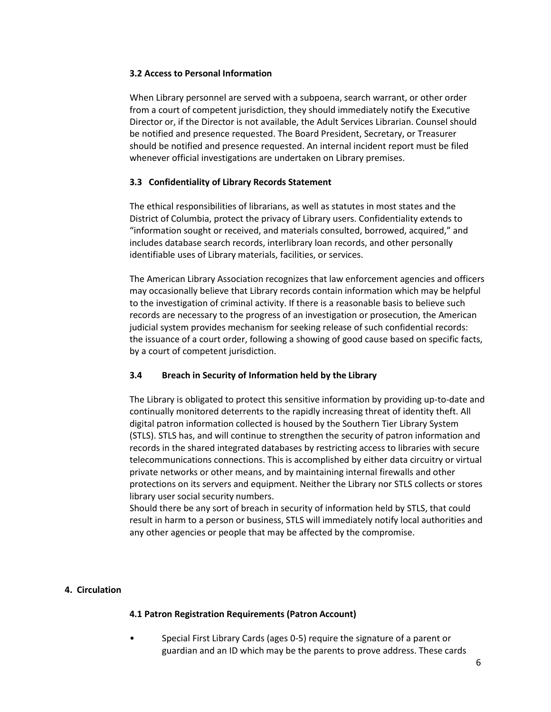## **3.2 Access to Personal Information**

When Library personnel are served with a subpoena, search warrant, or other order from a court of competent jurisdiction, they should immediately notify the Executive Director or, if the Director is not available, the Adult Services Librarian. Counsel should be notified and presence requested. The Board President, Secretary, or Treasurer should be notified and presence requested. An internal incident report must be filed whenever official investigations are undertaken on Library premises.

## **3.3 Confidentiality of Library Records Statement**

The ethical responsibilities of librarians, as well as statutes in most states and the District of Columbia, protect the privacy of Library users. Confidentiality extends to "information sought or received, and materials consulted, borrowed, acquired," and includes database search records, interlibrary loan records, and other personally identifiable uses of Library materials, facilities, or services.

The American Library Association recognizes that law enforcement agencies and officers may occasionally believe that Library records contain information which may be helpful to the investigation of criminal activity. If there is a reasonable basis to believe such records are necessary to the progress of an investigation or prosecution, the American judicial system provides mechanism for seeking release of such confidential records: the issuance of a court order, following a showing of good cause based on specific facts, by a court of competent jurisdiction.

## **3.4 Breach in Security of Information held by the Library**

The Library is obligated to protect this sensitive information by providing up-to-date and continually monitored deterrents to the rapidly increasing threat of identity theft. All digital patron information collected is housed by the Southern Tier Library System (STLS). STLS has, and will continue to strengthen the security of patron information and records in the shared integrated databases by restricting access to libraries with secure telecommunications connections. This is accomplished by either data circuitry or virtual private networks or other means, and by maintaining internal firewalls and other protections on its servers and equipment. Neither the Library nor STLS collects or stores library user social security numbers.

Should there be any sort of breach in security of information held by STLS, that could result in harm to a person or business, STLS will immediately notify local authorities and any other agencies or people that may be affected by the compromise.

#### **4. Circulation**

#### **4.1 Patron Registration Requirements (Patron Account)**

• Special First Library Cards (ages 0-5) require the signature of a parent or guardian and an ID which may be the parents to prove address. These cards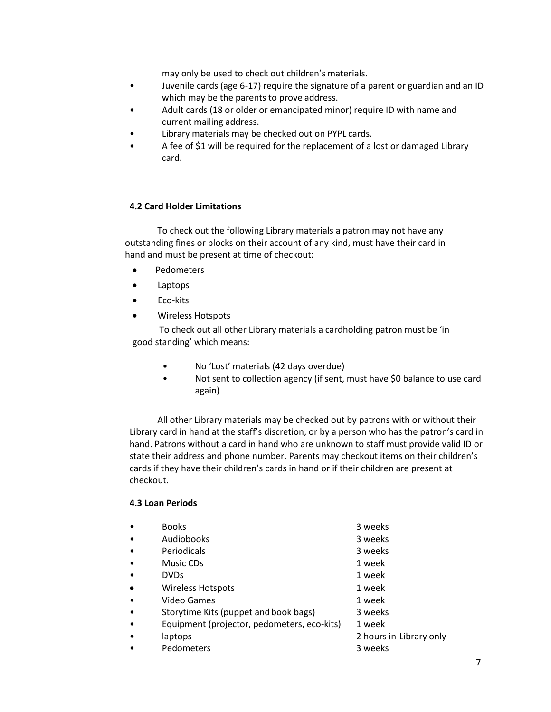may only be used to check out children's materials.

- Juvenile cards (age 6-17) require the signature of a parent or guardian and an ID which may be the parents to prove address.
- Adult cards (18 or older or emancipated minor) require ID with name and current mailing address.
- Library materials may be checked out on PYPL cards.
- A fee of \$1 will be required for the replacement of a lost or damaged Library card.

#### **4.2 Card Holder Limitations**

To check out the following Library materials a patron may not have any outstanding fines or blocks on their account of any kind, must have their card in hand and must be present at time of checkout:

- Pedometers
- Laptops
- Eco-kits
- Wireless Hotspots

 To check out all other Library materials a cardholding patron must be 'in good standing' which means:

- No 'Lost' materials (42 days overdue)
- Not sent to collection agency (if sent, must have \$0 balance to use card again)

All other Library materials may be checked out by patrons with or without their Library card in hand at the staff's discretion, or by a person who has the patron's card in hand. Patrons without a card in hand who are unknown to staff must provide valid ID or state their address and phone number. Parents may checkout items on their children's cards if they have their children's cards in hand or if their children are present at checkout.

#### **4.3 Loan Periods**

| $\bullet$ | <b>Books</b>                                | 3 weeks                 |
|-----------|---------------------------------------------|-------------------------|
| $\bullet$ | <b>Audiobooks</b>                           | 3 weeks                 |
| $\bullet$ | Periodicals                                 | 3 weeks                 |
| $\bullet$ | Music CDs                                   | 1 week                  |
| $\bullet$ | <b>DVDs</b>                                 | 1 week                  |
| $\bullet$ | <b>Wireless Hotspots</b>                    | 1 week                  |
| $\bullet$ | Video Games                                 | 1 week                  |
| $\bullet$ | Storytime Kits (puppet and book bags)       | 3 weeks                 |
| $\bullet$ | Equipment (projector, pedometers, eco-kits) | 1 week                  |
| $\bullet$ | laptops                                     | 2 hours in-Library only |
| ٠         | Pedometers                                  | 3 weeks                 |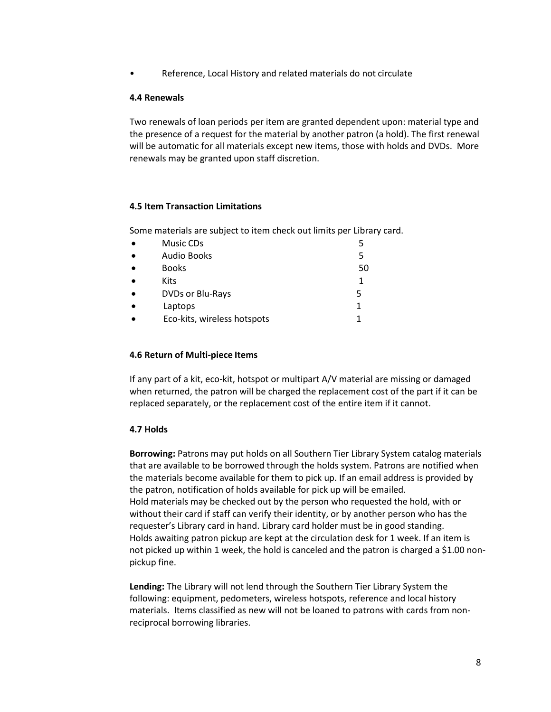• Reference, Local History and related materials do not circulate

#### **4.4 Renewals**

Two renewals of loan periods per item are granted dependent upon: material type and the presence of a request for the material by another patron (a hold). The first renewal will be automatic for all materials except new items, those with holds and DVDs. More renewals may be granted upon staff discretion.

#### **4.5 Item Transaction Limitations**

Some materials are subject to item check out limits per Library card.

| Music CDs                   |    |
|-----------------------------|----|
| Audio Books                 | 5  |
| <b>Books</b>                | 50 |
| Kits                        |    |
| DVDs or Blu-Rays            | 5  |
| Laptops                     | 1  |
| Eco-kits, wireless hotspots |    |

#### **4.6 Return of Multi-piece Items**

If any part of a kit, eco-kit, hotspot or multipart A/V material are missing or damaged when returned, the patron will be charged the replacement cost of the part if it can be replaced separately, or the replacement cost of the entire item if it cannot.

#### **4.7 Holds**

**Borrowing:** Patrons may put holds on all Southern Tier Library System catalog materials that are available to be borrowed through the holds system. Patrons are notified when the materials become available for them to pick up. If an email address is provided by the patron, notification of holds available for pick up will be emailed. Hold materials may be checked out by the person who requested the hold, with or without their card if staff can verify their identity, or by another person who has the requester's Library card in hand. Library card holder must be in good standing. Holds awaiting patron pickup are kept at the circulation desk for 1 week. If an item is not picked up within 1 week, the hold is canceled and the patron is charged a \$1.00 nonpickup fine.

**Lending:** The Library will not lend through the Southern Tier Library System the following: equipment, pedometers, wireless hotspots, reference and local history materials. Items classified as new will not be loaned to patrons with cards from nonreciprocal borrowing libraries.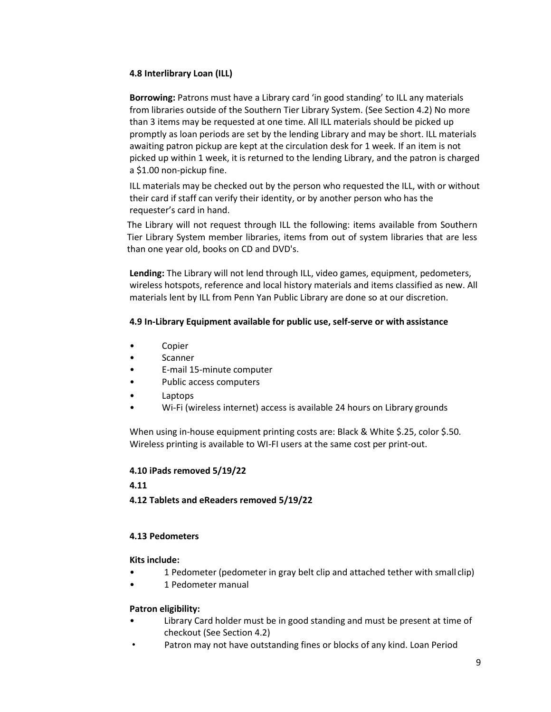## **4.8 Interlibrary Loan (ILL)**

**Borrowing:** Patrons must have a Library card 'in good standing' to ILL any materials from libraries outside of the Southern Tier Library System. (See Section 4.2) No more than 3 items may be requested at one time. All ILL materials should be picked up promptly as loan periods are set by the lending Library and may be short. ILL materials awaiting patron pickup are kept at the circulation desk for 1 week. If an item is not picked up within 1 week, it is returned to the lending Library, and the patron is charged a \$1.00 non-pickup fine.

ILL materials may be checked out by the person who requested the ILL, with or without their card if staff can verify their identity, or by another person who has the requester's card in hand.

The Library will not request through ILL the following: items available from Southern Tier Library System member libraries, items from out of system libraries that are less than one year old, books on CD and DVD's.

**Lending:** The Library will not lend through ILL, video games, equipment, pedometers, wireless hotspots, reference and local history materials and items classified as new. All materials lent by ILL from Penn Yan Public Library are done so at our discretion.

#### **4.9 In-Library Equipment available for public use, self-serve or with assistance**

- Copier
- Scanner
- E-mail 15-minute computer
- Public access computers
- Laptops
- Wi-Fi (wireless internet) access is available 24 hours on Library grounds

When using in-house equipment printing costs are: Black & White \$.25, color \$.50. Wireless printing is available to WI-FI users at the same cost per print-out.

#### **4.10 iPads removed 5/19/22**

**4.11**

**4.12 Tablets and eReaders removed 5/19/22**

#### **4.13 Pedometers**

**Kits include:**

- 1 Pedometer (pedometer in gray belt clip and attached tether with small clip)
- 1 Pedometer manual

#### **Patron eligibility:**

- Library Card holder must be in good standing and must be present at time of checkout (See Section 4.2)
- Patron may not have outstanding fines or blocks of any kind. Loan Period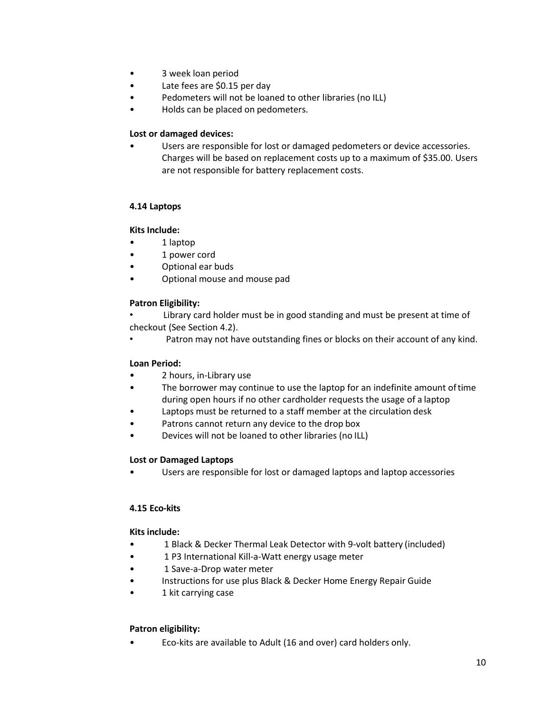- 3 week loan period
- Late fees are \$0.15 per day
- Pedometers will not be loaned to other libraries (no ILL)
- Holds can be placed on pedometers.

## **Lost or damaged devices:**

Users are responsible for lost or damaged pedometers or device accessories. Charges will be based on replacement costs up to a maximum of \$35.00. Users are not responsible for battery replacement costs.

## **4.14 Laptops**

## **Kits Include:**

- 1 laptop
- 1 power cord
- Optional ear buds
- Optional mouse and mouse pad

## **Patron Eligibility:**

Library card holder must be in good standing and must be present at time of checkout (See Section 4.2).

Patron may not have outstanding fines or blocks on their account of any kind.

## **Loan Period:**

- 2 hours, in-Library use
- The borrower may continue to use the laptop for an indefinite amount oftime during open hours if no other cardholder requests the usage of a laptop
- Laptops must be returned to a staff member at the circulation desk
- Patrons cannot return any device to the drop box
- Devices will not be loaned to other libraries (no ILL)

## **Lost or Damaged Laptops**

• Users are responsible for lost or damaged laptops and laptop accessories

#### **4.15 Eco-kits**

## **Kits include:**

- 1 Black & Decker Thermal Leak Detector with 9-volt battery (included)
- 1 P3 International Kill-a-Watt energy usage meter
- 1 Save-a-Drop water meter
- Instructions for use plus Black & Decker Home Energy Repair Guide
- 1 kit carrying case

## **Patron eligibility:**

• Eco-kits are available to Adult (16 and over) card holders only.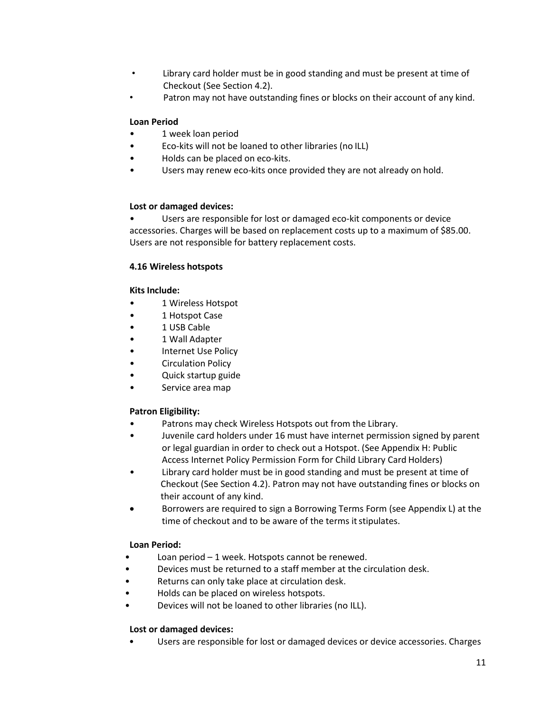- Library card holder must be in good standing and must be present at time of Checkout (See Section 4.2).
- Patron may not have outstanding fines or blocks on their account of any kind.

#### **Loan Period**

- 1 week loan period
- Eco-kits will not be loaned to other libraries (no ILL)
- Holds can be placed on eco-kits.
- Users may renew eco-kits once provided they are not already on hold.

#### **Lost or damaged devices:**

Users are responsible for lost or damaged eco-kit components or device accessories. Charges will be based on replacement costs up to a maximum of \$85.00. Users are not responsible for battery replacement costs.

## **4.16 Wireless hotspots**

#### **Kits Include:**

- 1 Wireless Hotspot
- 1 Hotspot Case
- 1 USB Cable
- 1 Wall Adapter
- Internet Use Policy
- Circulation Policy
- Quick startup guide
- Service area map

## **Patron Eligibility:**

- Patrons may check Wireless Hotspots out from the Library.
- Juvenile card holders under 16 must have internet permission signed by parent or legal guardian in order to check out a Hotspot. (See Appendix H: Public Access Internet Policy Permission Form for Child Library Card Holders)
- Library card holder must be in good standing and must be present at time of Checkout (See Section 4.2). Patron may not have outstanding fines or blocks on their account of any kind.
- Borrowers are required to sign a Borrowing Terms Form (see Appendix L) at the time of checkout and to be aware of the terms it stipulates.

#### **Loan Period:**

- Loan period  $-1$  week. Hotspots cannot be renewed.
- Devices must be returned to a staff member at the circulation desk.
- Returns can only take place at circulation desk.
- Holds can be placed on wireless hotspots.
- Devices will not be loaned to other libraries (no ILL).

#### **Lost or damaged devices:**

• Users are responsible for lost or damaged devices or device accessories. Charges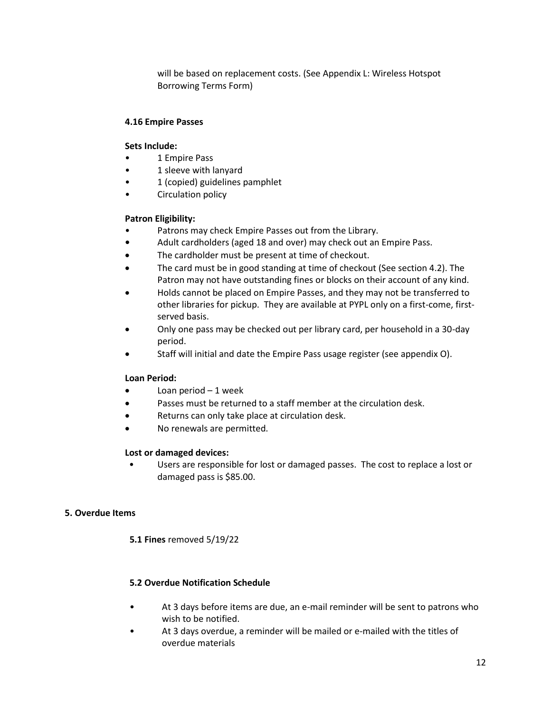will be based on replacement costs. (See Appendix L: Wireless Hotspot Borrowing Terms Form)

## **4.16 Empire Passes**

## **Sets Include:**

- 1 Empire Pass
- 1 sleeve with lanyard
- 1 (copied) guidelines pamphlet
- Circulation policy

## **Patron Eligibility:**

- Patrons may check Empire Passes out from the Library.
- **•** Adult cardholders (aged 18 and over) may check out an Empire Pass.
- The cardholder must be present at time of checkout.
- The card must be in good standing at time of checkout (See section 4.2). The Patron may not have outstanding fines or blocks on their account of any kind.
- Holds cannot be placed on Empire Passes, and they may not be transferred to other libraries for pickup. They are available at PYPL only on a first-come, firstserved basis.
- Only one pass may be checked out per library card, per household in a 30-day period.
- Staff will initial and date the Empire Pass usage register (see appendix O).

#### **Loan Period:**

- Loan period  $-1$  week
- Passes must be returned to a staff member at the circulation desk.
- Returns can only take place at circulation desk.
- No renewals are permitted.

#### **Lost or damaged devices:**

Users are responsible for lost or damaged passes. The cost to replace a lost or damaged pass is \$85.00.

#### **5. Overdue Items**

**5.1 Fines** removed 5/19/22

#### **5.2 Overdue Notification Schedule**

- At 3 days before items are due, an e-mail reminder will be sent to patrons who wish to be notified.
- At 3 days overdue, a reminder will be mailed or e-mailed with the titles of overdue materials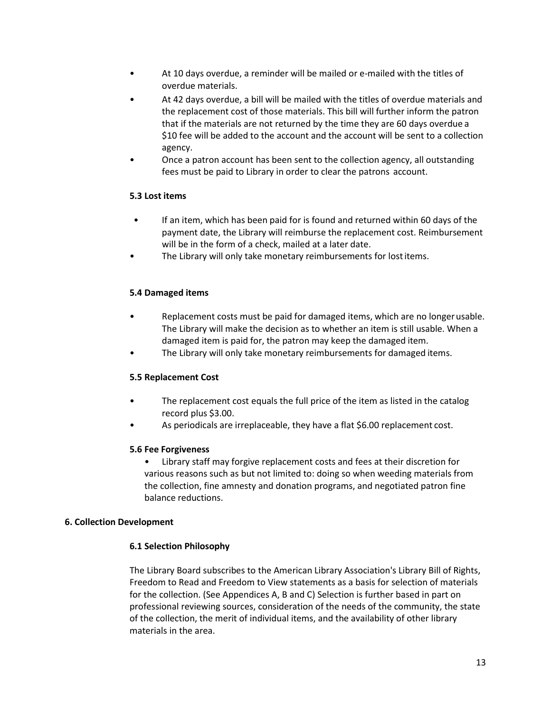- At 10 days overdue, a reminder will be mailed or e-mailed with the titles of overdue materials.
- At 42 days overdue, a bill will be mailed with the titles of overdue materials and the replacement cost of those materials. This bill will further inform the patron that if the materials are not returned by the time they are 60 days overdue a \$10 fee will be added to the account and the account will be sent to a collection agency.
- Once a patron account has been sent to the collection agency, all outstanding fees must be paid to Library in order to clear the patrons account.

## **5.3 Lost items**

- If an item, which has been paid for is found and returned within 60 days of the payment date, the Library will reimburse the replacement cost. Reimbursement will be in the form of a check, mailed at a later date.
- The Library will only take monetary reimbursements for lost items.

## **5.4 Damaged items**

- Replacement costs must be paid for damaged items, which are no longer usable. The Library will make the decision as to whether an item is still usable. When a damaged item is paid for, the patron may keep the damaged item.
- The Library will only take monetary reimbursements for damaged items.

#### **5.5 Replacement Cost**

- The replacement cost equals the full price of the item as listed in the catalog record plus \$3.00.
- As periodicals are irreplaceable, they have a flat \$6.00 replacement cost.

#### **5.6 Fee Forgiveness**

• Library staff may forgive replacement costs and fees at their discretion for various reasons such as but not limited to: doing so when weeding materials from the collection, fine amnesty and donation programs, and negotiated patron fine balance reductions.

#### **6. Collection Development**

#### **6.1 Selection Philosophy**

The Library Board subscribes to the American Library Association's Library Bill of Rights, Freedom to Read and Freedom to View statements as a basis for selection of materials for the collection. (See Appendices A, B and C) Selection is further based in part on professional reviewing sources, consideration of the needs of the community, the state of the collection, the merit of individual items, and the availability of other library materials in the area.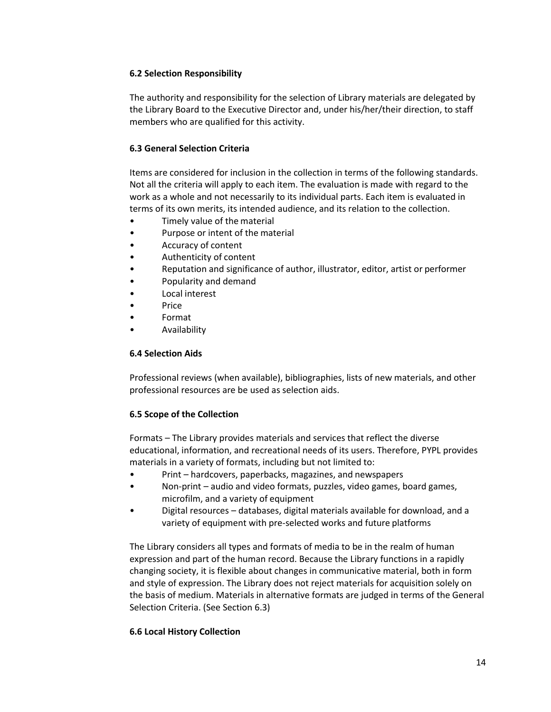## **6.2 Selection Responsibility**

The authority and responsibility for the selection of Library materials are delegated by the Library Board to the Executive Director and, under his/her/their direction, to staff members who are qualified for this activity.

## **6.3 General Selection Criteria**

Items are considered for inclusion in the collection in terms of the following standards. Not all the criteria will apply to each item. The evaluation is made with regard to the work as a whole and not necessarily to its individual parts. Each item is evaluated in terms of its own merits, its intended audience, and its relation to the collection.

- Timely value of the material
- Purpose or intent of the material
- Accuracy of content
- Authenticity of content
- Reputation and significance of author, illustrator, editor, artist or performer
- Popularity and demand
- Local interest
- **Price**
- Format
- Availability

## **6.4 Selection Aids**

Professional reviews (when available), bibliographies, lists of new materials, and other professional resources are be used as selection aids.

#### **6.5 Scope of the Collection**

Formats – The Library provides materials and services that reflect the diverse educational, information, and recreational needs of its users. Therefore, PYPL provides materials in a variety of formats, including but not limited to:

- Print hardcovers, paperbacks, magazines, and newspapers
- Non-print audio and video formats, puzzles, video games, board games, microfilm, and a variety of equipment
- Digital resources databases, digital materials available for download, and a variety of equipment with pre-selected works and future platforms

The Library considers all types and formats of media to be in the realm of human expression and part of the human record. Because the Library functions in a rapidly changing society, it is flexible about changes in communicative material, both in form and style of expression. The Library does not reject materials for acquisition solely on the basis of medium. Materials in alternative formats are judged in terms of the General Selection Criteria. (See Section 6.3)

#### **6.6 Local History Collection**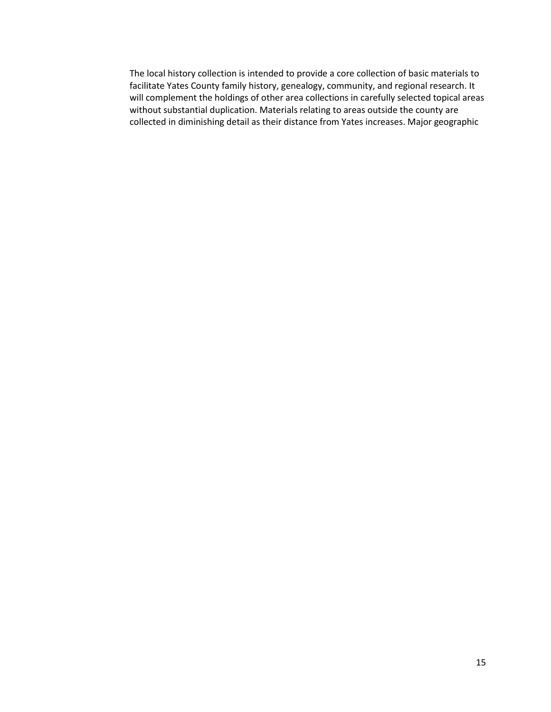The local history collection is intended to provide a core collection of basic materials to facilitate Yates County family history, genealogy, community, and regional research. It will complement the holdings of other area collections in carefully selected topical areas without substantial duplication. Materials relating to areas outside the county are collected in diminishing detail as their distance from Yates increases. Major geographic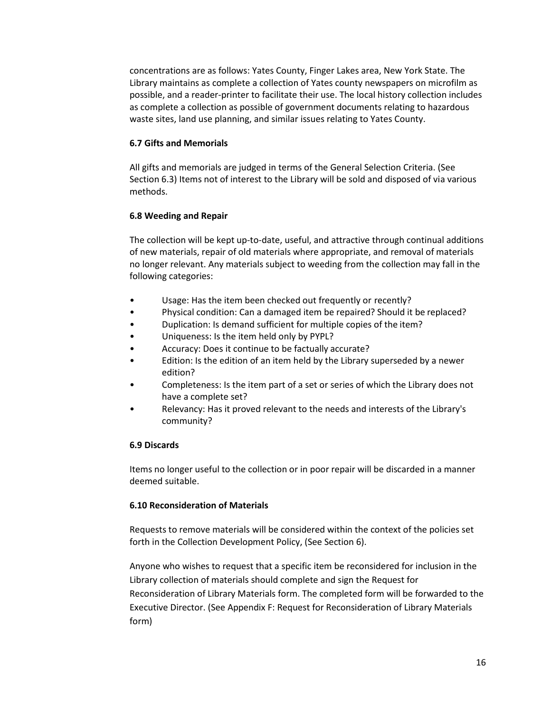concentrations are as follows: Yates County, Finger Lakes area, New York State. The Library maintains as complete a collection of Yates county newspapers on microfilm as possible, and a reader-printer to facilitate their use. The local history collection includes as complete a collection as possible of government documents relating to hazardous waste sites, land use planning, and similar issues relating to Yates County.

## **6.7 Gifts and Memorials**

All gifts and memorials are judged in terms of the General Selection Criteria. (See Section 6.3) Items not of interest to the Library will be sold and disposed of via various methods.

## **6.8 Weeding and Repair**

The collection will be kept up-to-date, useful, and attractive through continual additions of new materials, repair of old materials where appropriate, and removal of materials no longer relevant. Any materials subject to weeding from the collection may fall in the following categories:

- Usage: Has the item been checked out frequently or recently?
- Physical condition: Can a damaged item be repaired? Should it be replaced?
- Duplication: Is demand sufficient for multiple copies of the item?
- Uniqueness: Is the item held only by PYPL?
- Accuracy: Does it continue to be factually accurate?
- Edition: Is the edition of an item held by the Library superseded by a newer edition?
- Completeness: Is the item part of a set or series of which the Library does not have a complete set?
- Relevancy: Has it proved relevant to the needs and interests of the Library's community?

#### **6.9 Discards**

Items no longer useful to the collection or in poor repair will be discarded in a manner deemed suitable.

#### **6.10 Reconsideration of Materials**

Requests to remove materials will be considered within the context of the policies set forth in the Collection Development Policy, (See Section 6).

Anyone who wishes to request that a specific item be reconsidered for inclusion in the Library collection of materials should complete and sign the Request for Reconsideration of Library Materials form. The completed form will be forwarded to the Executive Director. (See Appendix F: Request for Reconsideration of Library Materials form)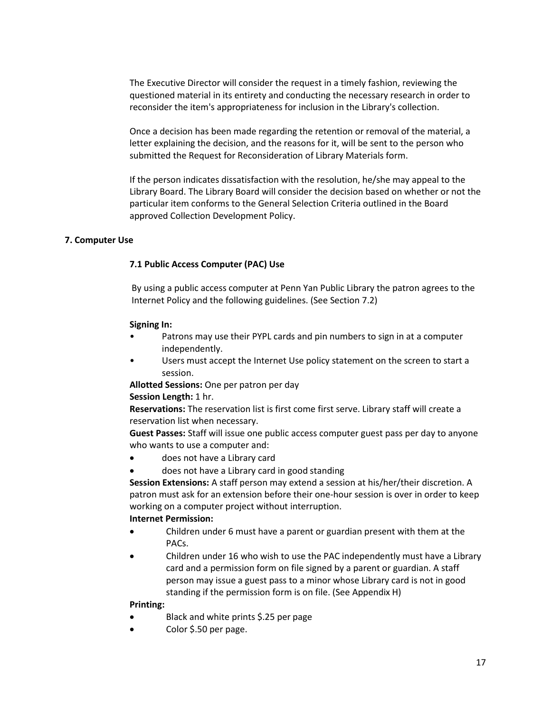The Executive Director will consider the request in a timely fashion, reviewing the questioned material in its entirety and conducting the necessary research in order to reconsider the item's appropriateness for inclusion in the Library's collection.

Once a decision has been made regarding the retention or removal of the material, a letter explaining the decision, and the reasons for it, will be sent to the person who submitted the Request for Reconsideration of Library Materials form.

If the person indicates dissatisfaction with the resolution, he/she may appeal to the Library Board. The Library Board will consider the decision based on whether or not the particular item conforms to the General Selection Criteria outlined in the Board approved Collection Development Policy.

#### **7. Computer Use**

## **7.1 Public Access Computer (PAC) Use**

By using a public access computer at Penn Yan Public Library the patron agrees to the Internet Policy and the following guidelines. (See Section 7.2)

#### **Signing In:**

- Patrons may use their PYPL cards and pin numbers to sign in at a computer independently.
- Users must accept the Internet Use policy statement on the screen to start a session.

**Allotted Sessions:** One per patron per day

#### **Session Length:** 1 hr.

**Reservations:** The reservation list is first come first serve. Library staff will create a reservation list when necessary.

**Guest Passes:** Staff will issue one public access computer guest pass per day to anyone who wants to use a computer and:

- does not have a Library card
- does not have a Library card in good standing

**Session Extensions:** A staff person may extend a session at his/her/their discretion. A patron must ask for an extension before their one-hour session is over in order to keep working on a computer project without interruption. **Internet Permission:**

- Children under 6 must have a parent or guardian present with them at the PACs.
- Children under 16 who wish to use the PAC independently must have a Library card and a permission form on file signed by a parent or guardian. A staff person may issue a guest pass to a minor whose Library card is not in good standing if the permission form is on file. (See Appendix H)

**Printing:**

- Black and white prints \$.25 per page
- Color \$.50 per page.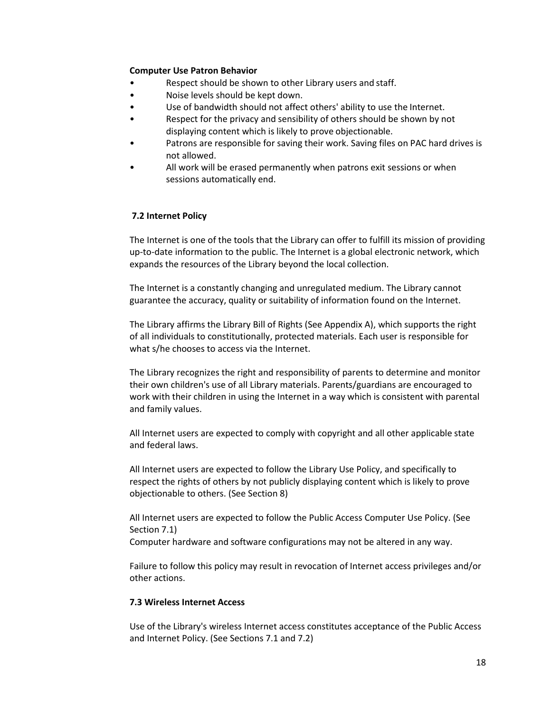#### **Computer Use Patron Behavior**

- Respect should be shown to other Library users and staff.
- Noise levels should be kept down.
- Use of bandwidth should not affect others' ability to use the Internet.
- Respect for the privacy and sensibility of others should be shown by not displaying content which is likely to prove objectionable.
- Patrons are responsible for saving their work. Saving files on PAC hard drives is not allowed.
- All work will be erased permanently when patrons exit sessions or when sessions automatically end.

## **7.2 Internet Policy**

The Internet is one of the tools that the Library can offer to fulfill its mission of providing up-to-date information to the public. The Internet is a global electronic network, which expands the resources of the Library beyond the local collection.

The Internet is a constantly changing and unregulated medium. The Library cannot guarantee the accuracy, quality or suitability of information found on the Internet.

The Library affirms the Library Bill of Rights (See Appendix A), which supports the right of all individuals to constitutionally, protected materials. Each user is responsible for what s/he chooses to access via the Internet.

The Library recognizes the right and responsibility of parents to determine and monitor their own children's use of all Library materials. Parents/guardians are encouraged to work with their children in using the Internet in a way which is consistent with parental and family values.

All Internet users are expected to comply with copyright and all other applicable state and federal laws.

All Internet users are expected to follow the Library Use Policy, and specifically to respect the rights of others by not publicly displaying content which is likely to prove objectionable to others. (See Section 8)

All Internet users are expected to follow the Public Access Computer Use Policy. (See Section 7.1)

Computer hardware and software configurations may not be altered in any way.

Failure to follow this policy may result in revocation of Internet access privileges and/or other actions.

#### **7.3 Wireless Internet Access**

Use of the Library's wireless Internet access constitutes acceptance of the Public Access and Internet Policy. (See Sections 7.1 and 7.2)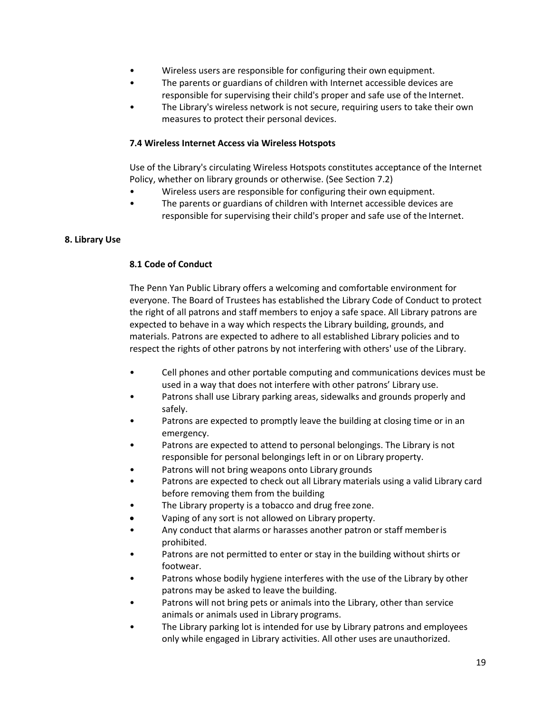- Wireless users are responsible for configuring their own equipment.
- The parents or guardians of children with Internet accessible devices are responsible for supervising their child's proper and safe use of the Internet.
- The Library's wireless network is not secure, requiring users to take their own measures to protect their personal devices.

## **7.4 Wireless Internet Access via Wireless Hotspots**

Use of the Library's circulating Wireless Hotspots constitutes acceptance of the Internet Policy, whether on library grounds or otherwise. (See Section 7.2)

- Wireless users are responsible for configuring their own equipment.
- The parents or guardians of children with Internet accessible devices are responsible for supervising their child's proper and safe use of the Internet.

## **8. Library Use**

## **8.1 Code of Conduct**

The Penn Yan Public Library offers a welcoming and comfortable environment for everyone. The Board of Trustees has established the Library Code of Conduct to protect the right of all patrons and staff members to enjoy a safe space. All Library patrons are expected to behave in a way which respects the Library building, grounds, and materials. Patrons are expected to adhere to all established Library policies and to respect the rights of other patrons by not interfering with others' use of the Library.

- Cell phones and other portable computing and communications devices must be used in a way that does not interfere with other patrons' Library use.
- Patrons shall use Library parking areas, sidewalks and grounds properly and safely.
- Patrons are expected to promptly leave the building at closing time or in an emergency.
- Patrons are expected to attend to personal belongings. The Library is not responsible for personal belongings left in or on Library property.
- Patrons will not bring weapons onto Library grounds
- Patrons are expected to check out all Library materials using a valid Library card before removing them from the building
- The Library property is a tobacco and drug free zone.
- Vaping of any sort is not allowed on Library property.
- Any conduct that alarms or harasses another patron or staff memberis prohibited.
- Patrons are not permitted to enter or stay in the building without shirts or footwear.
- Patrons whose bodily hygiene interferes with the use of the Library by other patrons may be asked to leave the building.
- Patrons will not bring pets or animals into the Library, other than service animals or animals used in Library programs.
- The Library parking lot is intended for use by Library patrons and employees only while engaged in Library activities. All other uses are unauthorized.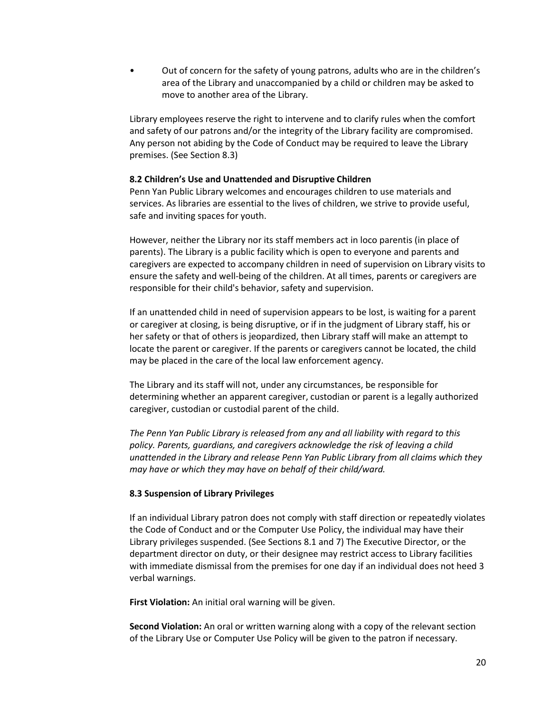• Out of concern for the safety of young patrons, adults who are in the children's area of the Library and unaccompanied by a child or children may be asked to move to another area of the Library.

Library employees reserve the right to intervene and to clarify rules when the comfort and safety of our patrons and/or the integrity of the Library facility are compromised. Any person not abiding by the Code of Conduct may be required to leave the Library premises. (See Section 8.3)

#### **8.2 Children's Use and Unattended and Disruptive Children**

Penn Yan Public Library welcomes and encourages children to use materials and services. As libraries are essential to the lives of children, we strive to provide useful, safe and inviting spaces for youth.

However, neither the Library nor its staff members act in loco parentis (in place of parents). The Library is a public facility which is open to everyone and parents and caregivers are expected to accompany children in need of supervision on Library visits to ensure the safety and well-being of the children. At all times, parents or caregivers are responsible for their child's behavior, safety and supervision.

If an unattended child in need of supervision appears to be lost, is waiting for a parent or caregiver at closing, is being disruptive, or if in the judgment of Library staff, his or her safety or that of others is jeopardized, then Library staff will make an attempt to locate the parent or caregiver. If the parents or caregivers cannot be located, the child may be placed in the care of the local law enforcement agency.

The Library and its staff will not, under any circumstances, be responsible for determining whether an apparent caregiver, custodian or parent is a legally authorized caregiver, custodian or custodial parent of the child.

*The Penn Yan Public Library is released from any and all liability with regard to this policy. Parents, guardians, and caregivers acknowledge the risk of leaving a child unattended in the Library and release Penn Yan Public Library from all claims which they may have or which they may have on behalf of their child/ward.*

#### **8.3 Suspension of Library Privileges**

If an individual Library patron does not comply with staff direction or repeatedly violates the Code of Conduct and or the Computer Use Policy, the individual may have their Library privileges suspended. (See Sections 8.1 and 7) The Executive Director, or the department director on duty, or their designee may restrict access to Library facilities with immediate dismissal from the premises for one day if an individual does not heed 3 verbal warnings.

**First Violation:** An initial oral warning will be given.

**Second Violation:** An oral or written warning along with a copy of the relevant section of the Library Use or Computer Use Policy will be given to the patron if necessary.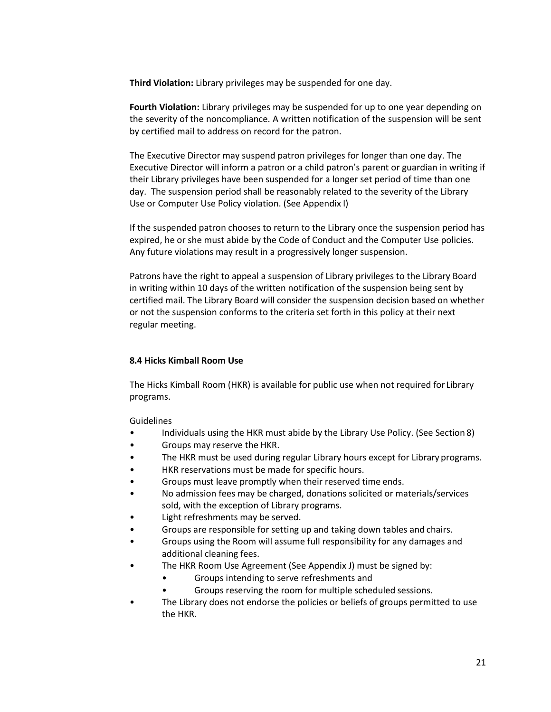**Third Violation:** Library privileges may be suspended for one day.

**Fourth Violation:** Library privileges may be suspended for up to one year depending on the severity of the noncompliance. A written notification of the suspension will be sent by certified mail to address on record for the patron.

The Executive Director may suspend patron privileges for longer than one day. The Executive Director will inform a patron or a child patron's parent or guardian in writing if their Library privileges have been suspended for a longer set period of time than one day. The suspension period shall be reasonably related to the severity of the Library Use or Computer Use Policy violation. (See Appendix I)

If the suspended patron chooses to return to the Library once the suspension period has expired, he or she must abide by the Code of Conduct and the Computer Use policies. Any future violations may result in a progressively longer suspension.

Patrons have the right to appeal a suspension of Library privileges to the Library Board in writing within 10 days of the written notification of the suspension being sent by certified mail. The Library Board will consider the suspension decision based on whether or not the suspension conforms to the criteria set forth in this policy at their next regular meeting.

## **8.4 Hicks Kimball Room Use**

The Hicks Kimball Room (HKR) is available for public use when not required for Library programs.

Guidelines

- Individuals using the HKR must abide by the Library Use Policy. (See Section 8)
- Groups may reserve the HKR.
- The HKR must be used during regular Library hours except for Library programs.
- HKR reservations must be made for specific hours.
- Groups must leave promptly when their reserved time ends.
- No admission fees may be charged, donations solicited or materials/services sold, with the exception of Library programs.
- Light refreshments may be served.
- Groups are responsible for setting up and taking down tables and chairs.
- Groups using the Room will assume full responsibility for any damages and additional cleaning fees.
- The HKR Room Use Agreement (See Appendix J) must be signed by:
	- Groups intending to serve refreshments and
	- Groups reserving the room for multiple scheduled sessions.
- The Library does not endorse the policies or beliefs of groups permitted to use the HKR.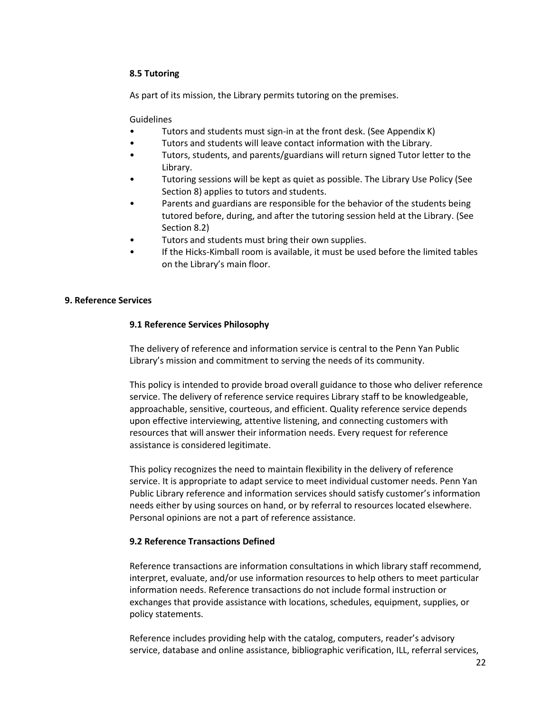#### **8.5 Tutoring**

As part of its mission, the Library permits tutoring on the premises.

Guidelines

- Tutors and students must sign-in at the front desk. (See Appendix K)
- Tutors and students will leave contact information with the Library.
- Tutors, students, and parents/guardians will return signed Tutor letter to the Library.
- Tutoring sessions will be kept as quiet as possible. The Library Use Policy (See Section 8) applies to tutors and students.
- Parents and guardians are responsible for the behavior of the students being tutored before, during, and after the tutoring session held at the Library. (See Section 8.2)
- Tutors and students must bring their own supplies.
- If the Hicks-Kimball room is available, it must be used before the limited tables on the Library's main floor.

#### **9. Reference Services**

#### **9.1 Reference Services Philosophy**

The delivery of reference and information service is central to the Penn Yan Public Library's mission and commitment to serving the needs of its community.

This policy is intended to provide broad overall guidance to those who deliver reference service. The delivery of reference service requires Library staff to be knowledgeable, approachable, sensitive, courteous, and efficient. Quality reference service depends upon effective interviewing, attentive listening, and connecting customers with resources that will answer their information needs. Every request for reference assistance is considered legitimate.

This policy recognizes the need to maintain flexibility in the delivery of reference service. It is appropriate to adapt service to meet individual customer needs. Penn Yan Public Library reference and information services should satisfy customer's information needs either by using sources on hand, or by referral to resources located elsewhere. Personal opinions are not a part of reference assistance.

#### **9.2 Reference Transactions Defined**

Reference transactions are information consultations in which library staff recommend, interpret, evaluate, and/or use information resources to help others to meet particular information needs. Reference transactions do not include formal instruction or exchanges that provide assistance with locations, schedules, equipment, supplies, or policy statements.

Reference includes providing help with the catalog, computers, reader's advisory service, database and online assistance, bibliographic verification, ILL, referral services,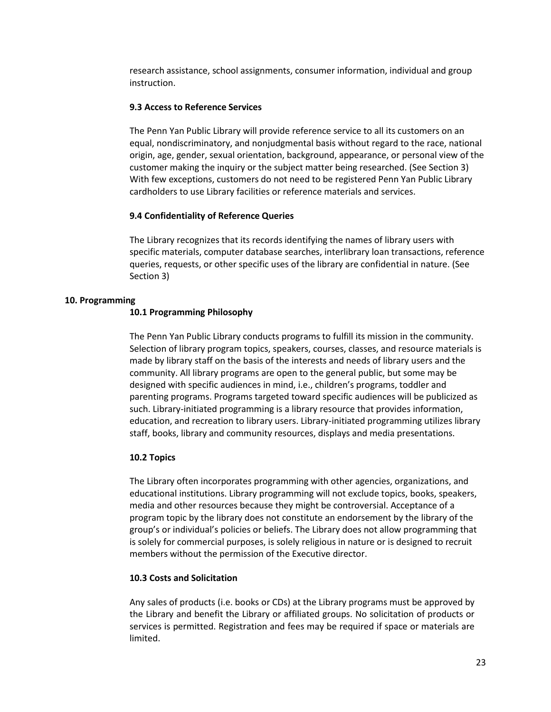research assistance, school assignments, consumer information, individual and group instruction.

#### **9.3 Access to Reference Services**

The Penn Yan Public Library will provide reference service to all its customers on an equal, nondiscriminatory, and nonjudgmental basis without regard to the race, national origin, age, gender, sexual orientation, background, appearance, or personal view of the customer making the inquiry or the subject matter being researched. (See Section 3) With few exceptions, customers do not need to be registered Penn Yan Public Library cardholders to use Library facilities or reference materials and services.

#### **9.4 Confidentiality of Reference Queries**

The Library recognizes that its records identifying the names of library users with specific materials, computer database searches, interlibrary loan transactions, reference queries, requests, or other specific uses of the library are confidential in nature. (See Section 3)

#### **10. Programming**

## **10.1 Programming Philosophy**

The Penn Yan Public Library conducts programs to fulfill its mission in the community. Selection of library program topics, speakers, courses, classes, and resource materials is made by library staff on the basis of the interests and needs of library users and the community. All library programs are open to the general public, but some may be designed with specific audiences in mind, i.e., children's programs, toddler and parenting programs. Programs targeted toward specific audiences will be publicized as such. Library-initiated programming is a library resource that provides information, education, and recreation to library users. Library-initiated programming utilizes library staff, books, library and community resources, displays and media presentations.

#### **10.2 Topics**

The Library often incorporates programming with other agencies, organizations, and educational institutions. Library programming will not exclude topics, books, speakers, media and other resources because they might be controversial. Acceptance of a program topic by the library does not constitute an endorsement by the library of the group's or individual's policies or beliefs. The Library does not allow programming that is solely for commercial purposes, is solely religious in nature or is designed to recruit members without the permission of the Executive director.

#### **10.3 Costs and Solicitation**

Any sales of products (i.e. books or CDs) at the Library programs must be approved by the Library and benefit the Library or affiliated groups. No solicitation of products or services is permitted. Registration and fees may be required if space or materials are limited.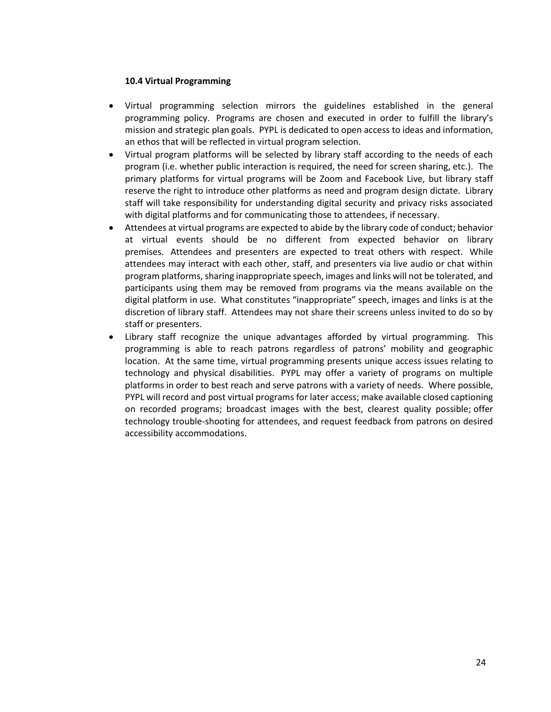#### **10.4 Virtual Programming**

- Virtual programming selection mirrors the guidelines established in the general programming policy. Programs are chosen and executed in order to fulfill the library's mission and strategic plan goals. PYPL is dedicated to open access to ideas and information, an ethos that will be reflected in virtual program selection.
- Virtual program platforms will be selected by library staff according to the needs of each program (i.e. whether public interaction is required, the need for screen sharing, etc.). The primary platforms for virtual programs will be Zoom and Facebook Live, but library staff reserve the right to introduce other platforms as need and program design dictate. Library staff will take responsibility for understanding digital security and privacy risks associated with digital platforms and for communicating those to attendees, if necessary.
- Attendees at virtual programs are expected to abide by the library code of conduct; behavior at virtual events should be no different from expected behavior on library premises. Attendees and presenters are expected to treat others with respect. While attendees may interact with each other, staff, and presenters via live audio or chat within program platforms, sharing inappropriate speech, images and links will not be tolerated, and participants using them may be removed from programs via the means available on the digital platform in use. What constitutes "inappropriate" speech, images and links is at the discretion of library staff. Attendees may not share their screens unless invited to do so by staff or presenters.
- Library staff recognize the unique advantages afforded by virtual programming. This programming is able to reach patrons regardless of patrons' mobility and geographic location. At the same time, virtual programming presents unique access issues relating to technology and physical disabilities. PYPL may offer a variety of programs on multiple platforms in order to best reach and serve patrons with a variety of needs. Where possible, PYPL will record and post virtual programs for later access; make available closed captioning on recorded programs; broadcast images with the best, clearest quality possible; offer technology trouble-shooting for attendees, and request feedback from patrons on desired accessibility accommodations.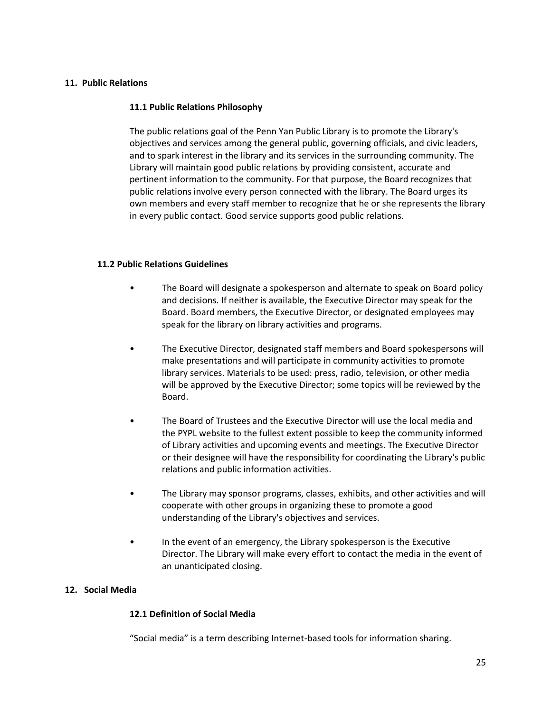#### **11. Public Relations**

#### **11.1 Public Relations Philosophy**

The public relations goal of the Penn Yan Public Library is to promote the Library's objectives and services among the general public, governing officials, and civic leaders, and to spark interest in the library and its services in the surrounding community. The Library will maintain good public relations by providing consistent, accurate and pertinent information to the community. For that purpose, the Board recognizes that public relations involve every person connected with the library. The Board urges its own members and every staff member to recognize that he or she represents the library in every public contact. Good service supports good public relations.

#### **11.2 Public Relations Guidelines**

- The Board will designate a spokesperson and alternate to speak on Board policy and decisions. If neither is available, the Executive Director may speak for the Board. Board members, the Executive Director, or designated employees may speak for the library on library activities and programs.
- The Executive Director, designated staff members and Board spokespersons will make presentations and will participate in community activities to promote library services. Materials to be used: press, radio, television, or other media will be approved by the Executive Director; some topics will be reviewed by the Board.
- The Board of Trustees and the Executive Director will use the local media and the PYPL website to the fullest extent possible to keep the community informed of Library activities and upcoming events and meetings. The Executive Director or their designee will have the responsibility for coordinating the Library's public relations and public information activities.
- The Library may sponsor programs, classes, exhibits, and other activities and will cooperate with other groups in organizing these to promote a good understanding of the Library's objectives and services.
- In the event of an emergency, the Library spokesperson is the Executive Director. The Library will make every effort to contact the media in the event of an unanticipated closing.

#### **12. Social Media**

#### **12.1 Definition of Social Media**

"Social media" is a term describing Internet-based tools for information sharing.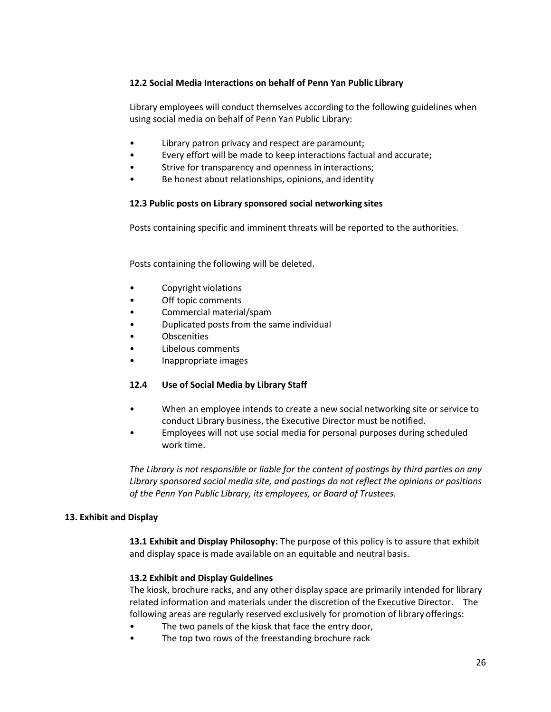## **12.2 Social Media Interactions on behalf of Penn Yan Public Library**

Library employees will conduct themselves according to the following guidelines when using social media on behalf of Penn Yan Public Library:

- Library patron privacy and respect are paramount;
- Every effort will be made to keep interactions factual and accurate;
- Strive for transparency and openness in interactions;
- Be honest about relationships, opinions, and identity

## **12.3 Public posts on Library sponsored social networking sites**

Posts containing specific and imminent threats will be reported to the authorities.

Posts containing the following will be deleted.

- Copyright violations
- Off topic comments
- Commercial material/spam
- Duplicated posts from the same individual
- **Obscenities**
- Libelous comments
- Inappropriate images

#### **12.4 Use of Social Media by Library Staff**

- When an employee intends to create a new social networking site or service to conduct Library business, the Executive Director must be notified.
- Employees will not use social media for personal purposes during scheduled work time.

*The Library is not responsible or liable for the content of postings by third parties on any Library sponsored social media site, and postings do not reflect the opinions or positions of the Penn Yan Public Library, its employees, or Board of Trustees.*

#### **13. Exhibit and Display**

**13.1 Exhibit and Display Philosophy:** The purpose of this policy is to assure that exhibit and display space is made available on an equitable and neutral basis.

#### **13.2 Exhibit and Display Guidelines**

The kiosk, brochure racks, and any other display space are primarily intended for library related information and materials under the discretion of the Executive Director. The following areas are regularly reserved exclusively for promotion of library offerings:

- The two panels of the kiosk that face the entry door,
- The top two rows of the freestanding brochure rack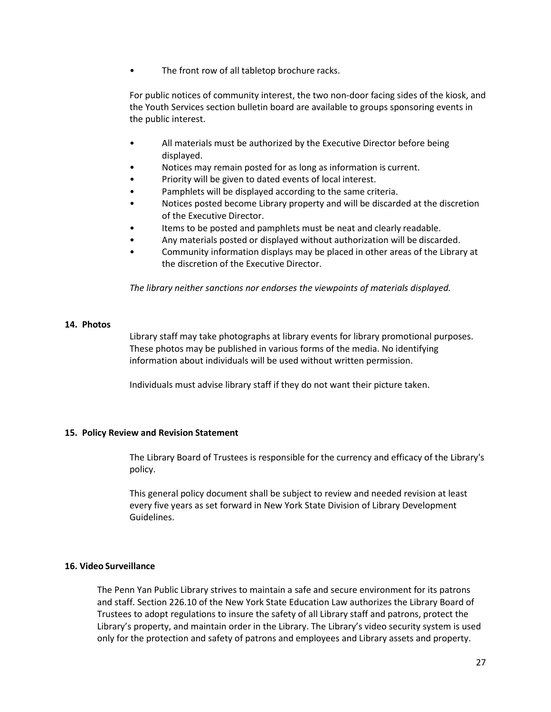The front row of all tabletop brochure racks.

For public notices of community interest, the two non-door facing sides of the kiosk, and the Youth Services section bulletin board are available to groups sponsoring events in the public interest.

- All materials must be authorized by the Executive Director before being displayed.
- Notices may remain posted for as long as information is current.
- Priority will be given to dated events of local interest.
- Pamphlets will be displayed according to the same criteria.
- Notices posted become Library property and will be discarded at the discretion of the Executive Director.
- Items to be posted and pamphlets must be neat and clearly readable.
- Any materials posted or displayed without authorization will be discarded.
- Community information displays may be placed in other areas of the Library at the discretion of the Executive Director.

*The library neither sanctions nor endorses the viewpoints of materials displayed.*

#### **14. Photos**

Library staff may take photographs at library events for library promotional purposes. These photos may be published in various forms of the media. No identifying information about individuals will be used without written permission.

Individuals must advise library staff if they do not want their picture taken.

#### **15. Policy Review and Revision Statement**

The Library Board of Trustees is responsible for the currency and efficacy of the Library's policy.

This general policy document shall be subject to review and needed revision at least every five years as set forward in New York State Division of Library Development Guidelines.

#### **16. Video Surveillance**

The Penn Yan Public Library strives to maintain a safe and secure environment for its patrons and staff. Section 226.10 of the New York State Education Law authorizes the Library Board of Trustees to adopt regulations to insure the safety of all Library staff and patrons, protect the Library's property, and maintain order in the Library. The Library's video security system is used only for the protection and safety of patrons and employees and Library assets and property.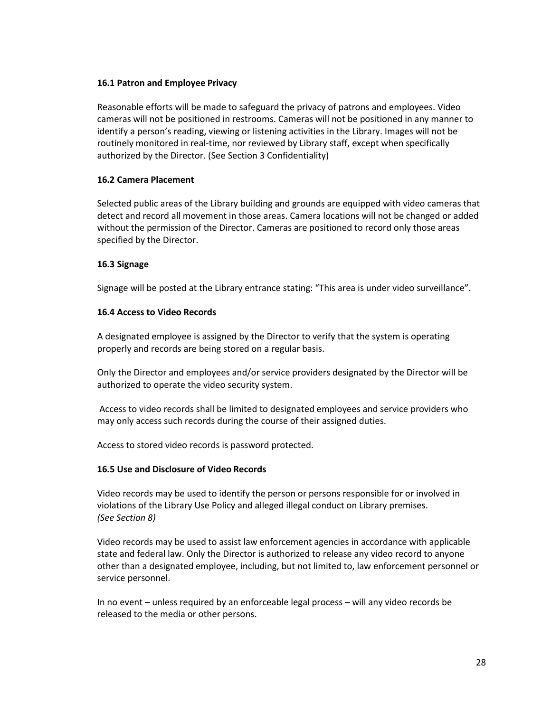#### **16.1 Patron and Employee Privacy**

Reasonable efforts will be made to safeguard the privacy of patrons and employees. Video cameras will not be positioned in restrooms. Cameras will not be positioned in any manner to identify a person's reading, viewing or listening activities in the Library. Images will not be routinely monitored in real-time, nor reviewed by Library staff, except when specifically authorized by the Director. (See Section 3 Confidentiality)

#### **16.2 Camera Placement**

Selected public areas of the Library building and grounds are equipped with video cameras that detect and record all movement in those areas. Camera locations will not be changed or added without the permission of the Director. Cameras are positioned to record only those areas specified by the Director.

#### **16.3 Signage**

Signage will be posted at the Library entrance stating: "This area is under video surveillance".

#### **16.4 Access to Video Records**

A designated employee is assigned by the Director to verify that the system is operating properly and records are being stored on a regular basis.

Only the Director and employees and/or service providers designated by the Director will be authorized to operate the video security system.

Access to video records shall be limited to designated employees and service providers who may only access such records during the course of their assigned duties.

Access to stored video records is password protected.

#### **16.5 Use and Disclosure of Video Records**

Video records may be used to identify the person or persons responsible for or involved in violations of the Library Use Policy and alleged illegal conduct on Library premises. *(See Section 8)*

Video records may be used to assist law enforcement agencies in accordance with applicable state and federal law. Only the Director is authorized to release any video record to anyone other than a designated employee, including, but not limited to, law enforcement personnel or service personnel.

In no event – unless required by an enforceable legal process – will any video records be released to the media or other persons.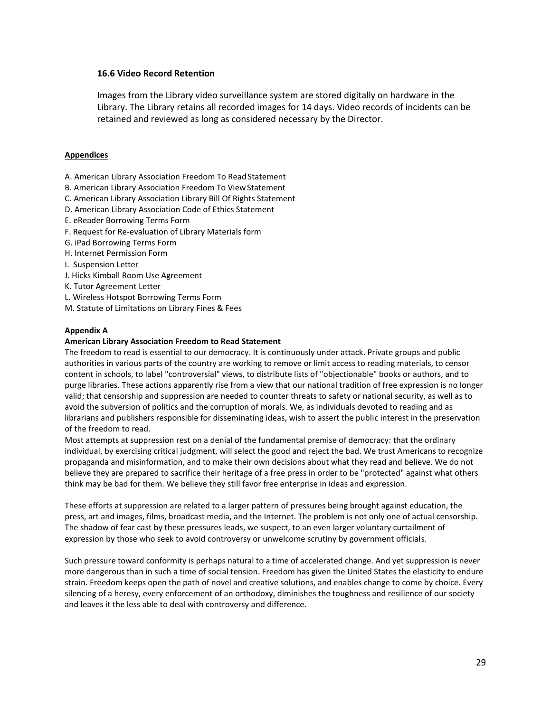#### **16.6 Video Record Retention**

Images from the Library video surveillance system are stored digitally on hardware in the Library. The Library retains all recorded images for 14 days. Video records of incidents can be retained and reviewed as long as considered necessary by the Director.

#### **Appendices**

- A. American Library Association Freedom To Read Statement
- B. American Library Association Freedom To ViewStatement
- C. American Library Association Library Bill Of Rights Statement
- D. American Library Association Code of Ethics Statement
- E. eReader Borrowing Terms Form
- F. Request for Re-evaluation of Library Materials form
- G. iPad Borrowing Terms Form
- H. Internet Permission Form
- I. Suspension Letter
- J. Hicks Kimball Room Use Agreement
- K. Tutor Agreement Letter
- L. Wireless Hotspot Borrowing Terms Form
- M. Statute of Limitations on Library Fines & Fees

#### **Appendix A**

#### **American Library Association Freedom to Read Statement**

The freedom to read is essential to our democracy. It is continuously under attack. Private groups and public authorities in various parts of the country are working to remove or limit access to reading materials, to censor content in schools, to label "controversial" views, to distribute lists of "objectionable" books or authors, and to purge libraries. These actions apparently rise from a view that our national tradition of free expression is no longer valid; that censorship and suppression are needed to counter threats to safety or national security, as well as to avoid the subversion of politics and the corruption of morals. We, as individuals devoted to reading and as librarians and publishers responsible for disseminating ideas, wish to assert the public interest in the preservation of the freedom to read.

Most attempts at suppression rest on a denial of the fundamental premise of democracy: that the ordinary individual, by exercising critical judgment, will select the good and reject the bad. We trust Americans to recognize propaganda and misinformation, and to make their own decisions about what they read and believe. We do not believe they are prepared to sacrifice their heritage of a free press in order to be "protected" against what others think may be bad for them. We believe they still favor free enterprise in ideas and expression.

These efforts at suppression are related to a larger pattern of pressures being brought against education, the press, art and images, films, broadcast media, and the Internet. The problem is not only one of actual censorship. The shadow of fear cast by these pressures leads, we suspect, to an even larger voluntary curtailment of expression by those who seek to avoid controversy or unwelcome scrutiny by government officials.

Such pressure toward conformity is perhaps natural to a time of accelerated change. And yet suppression is never more dangerous than in such a time of social tension. Freedom has given the United States the elasticity to endure strain. Freedom keeps open the path of novel and creative solutions, and enables change to come by choice. Every silencing of a heresy, every enforcement of an orthodoxy, diminishes the toughness and resilience of our society and leaves it the less able to deal with controversy and difference.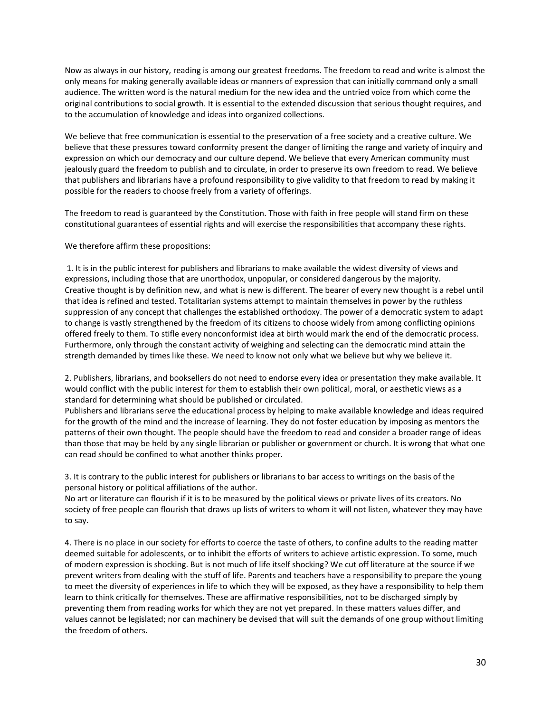Now as always in our history, reading is among our greatest freedoms. The freedom to read and write is almost the only means for making generally available ideas or manners of expression that can initially command only a small audience. The written word is the natural medium for the new idea and the untried voice from which come the original contributions to social growth. It is essential to the extended discussion that serious thought requires, and to the accumulation of knowledge and ideas into organized collections.

We believe that free communication is essential to the preservation of a free society and a creative culture. We believe that these pressures toward conformity present the danger of limiting the range and variety of inquiry and expression on which our democracy and our culture depend. We believe that every American community must jealously guard the freedom to publish and to circulate, in order to preserve its own freedom to read. We believe that publishers and librarians have a profound responsibility to give validity to that freedom to read by making it possible for the readers to choose freely from a variety of offerings.

The freedom to read is guaranteed by the Constitution. Those with faith in free people will stand firm on these constitutional guarantees of essential rights and will exercise the responsibilities that accompany these rights.

We therefore affirm these propositions:

1. It is in the public interest for publishers and librarians to make available the widest diversity of views and expressions, including those that are unorthodox, unpopular, or considered dangerous by the majority. Creative thought is by definition new, and what is new is different. The bearer of every new thought is a rebel until that idea is refined and tested. Totalitarian systems attempt to maintain themselves in power by the ruthless suppression of any concept that challenges the established orthodoxy. The power of a democratic system to adapt to change is vastly strengthened by the freedom of its citizens to choose widely from among conflicting opinions offered freely to them. To stifle every nonconformist idea at birth would mark the end of the democratic process. Furthermore, only through the constant activity of weighing and selecting can the democratic mind attain the strength demanded by times like these. We need to know not only what we believe but why we believe it.

2. Publishers, librarians, and booksellers do not need to endorse every idea or presentation they make available. It would conflict with the public interest for them to establish their own political, moral, or aesthetic views as a standard for determining what should be published or circulated.

Publishers and librarians serve the educational process by helping to make available knowledge and ideas required for the growth of the mind and the increase of learning. They do not foster education by imposing as mentors the patterns of their own thought. The people should have the freedom to read and consider a broader range of ideas than those that may be held by any single librarian or publisher or government or church. It is wrong that what one can read should be confined to what another thinks proper.

3. It is contrary to the public interest for publishers or librarians to bar access to writings on the basis of the personal history or political affiliations of the author.

No art or literature can flourish if it is to be measured by the political views or private lives of its creators. No society of free people can flourish that draws up lists of writers to whom it will not listen, whatever they may have to say.

4. There is no place in our society for efforts to coerce the taste of others, to confine adults to the reading matter deemed suitable for adolescents, or to inhibit the efforts of writers to achieve artistic expression. To some, much of modern expression is shocking. But is not much of life itself shocking? We cut off literature at the source if we prevent writers from dealing with the stuff of life. Parents and teachers have a responsibility to prepare the young to meet the diversity of experiences in life to which they will be exposed, as they have a responsibility to help them learn to think critically for themselves. These are affirmative responsibilities, not to be discharged simply by preventing them from reading works for which they are not yet prepared. In these matters values differ, and values cannot be legislated; nor can machinery be devised that will suit the demands of one group without limiting the freedom of others.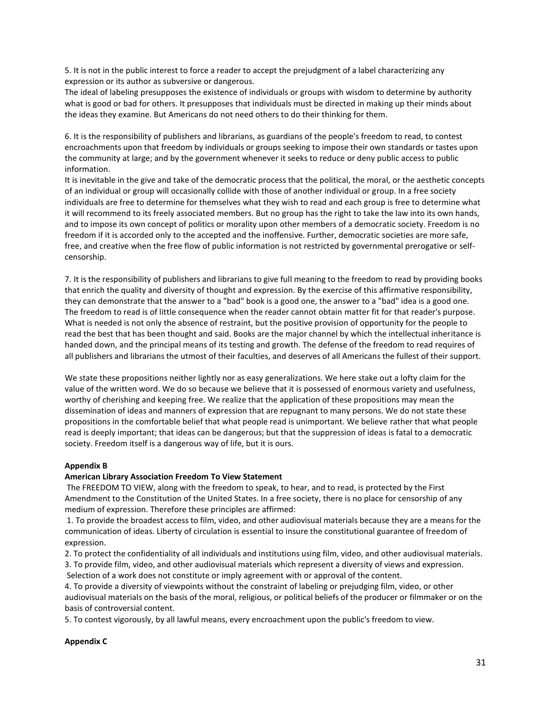5. It is not in the public interest to force a reader to accept the prejudgment of a label characterizing any expression or its author as subversive or dangerous.

The ideal of labeling presupposes the existence of individuals or groups with wisdom to determine by authority what is good or bad for others. It presupposes that individuals must be directed in making up their minds about the ideas they examine. But Americans do not need others to do their thinking for them.

6. It is the responsibility of publishers and librarians, as guardians of the people's freedom to read, to contest encroachments upon that freedom by individuals or groups seeking to impose their own standards or tastes upon the community at large; and by the government whenever it seeks to reduce or deny public access to public information.

It is inevitable in the give and take of the democratic process that the political, the moral, or the aesthetic concepts of an individual or group will occasionally collide with those of another individual or group. In a free society individuals are free to determine for themselves what they wish to read and each group is free to determine what it will recommend to its freely associated members. But no group has the right to take the law into its own hands, and to impose its own concept of politics or morality upon other members of a democratic society. Freedom is no freedom if it is accorded only to the accepted and the inoffensive. Further, democratic societies are more safe, free, and creative when the free flow of public information is not restricted by governmental prerogative or selfcensorship.

7. It is the responsibility of publishers and librarians to give full meaning to the freedom to read by providing books that enrich the quality and diversity of thought and expression. By the exercise of this affirmative responsibility, they can demonstrate that the answer to a "bad" book is a good one, the answer to a "bad" idea is a good one. The freedom to read is of little consequence when the reader cannot obtain matter fit for that reader's purpose. What is needed is not only the absence of restraint, but the positive provision of opportunity for the people to read the best that has been thought and said. Books are the major channel by which the intellectual inheritance is handed down, and the principal means of its testing and growth. The defense of the freedom to read requires of all publishers and librarians the utmost of their faculties, and deserves of all Americans the fullest of their support.

We state these propositions neither lightly nor as easy generalizations. We here stake out a lofty claim for the value of the written word. We do so because we believe that it is possessed of enormous variety and usefulness, worthy of cherishing and keeping free. We realize that the application of these propositions may mean the dissemination of ideas and manners of expression that are repugnant to many persons. We do not state these propositions in the comfortable belief that what people read is unimportant. We believe rather that what people read is deeply important; that ideas can be dangerous; but that the suppression of ideas is fatal to a democratic society. Freedom itself is a dangerous way of life, but it is ours.

#### **Appendix B**

#### **American Library Association Freedom To View Statement**

The FREEDOM TO VIEW, along with the freedom to speak, to hear, and to read, is protected by the First Amendment to the Constitution of the United States. In a free society, there is no place for censorship of any medium of expression. Therefore these principles are affirmed:

1. To provide the broadest access to film, video, and other audiovisual materials because they are a means for the communication of ideas. Liberty of circulation is essential to insure the constitutional guarantee of freedom of expression.

2. To protect the confidentiality of all individuals and institutions using film, video, and other audiovisual materials. 3. To provide film, video, and other audiovisual materials which represent a diversity of views and expression. Selection of a work does not constitute or imply agreement with or approval of the content.

4. To provide a diversity of viewpoints without the constraint of labeling or prejudging film, video, or other audiovisual materials on the basis of the moral, religious, or political beliefs of the producer or filmmaker or on the basis of controversial content.

5. To contest vigorously, by all lawful means, every encroachment upon the public's freedom to view.

#### **Appendix C**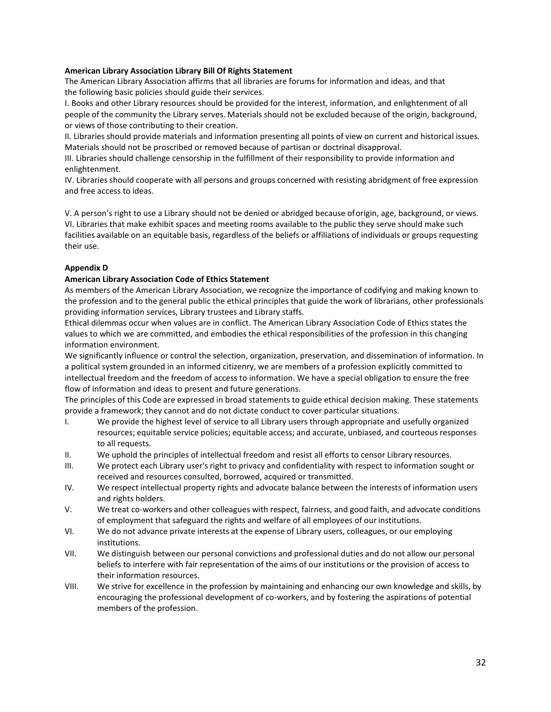#### **American Library Association Library Bill Of Rights Statement**

The American Library Association affirms that all libraries are forums for information and ideas, and that the following basic policies should guide their services.

I. Books and other Library resources should be provided for the interest, information, and enlightenment of all people of the community the Library serves. Materials should not be excluded because of the origin, background, or views of those contributing to their creation.

II. Libraries should provide materials and information presenting all points of view on current and historical issues. Materials should not be proscribed or removed because of partisan or doctrinal disapproval.

III. Libraries should challenge censorship in the fulfillment of their responsibility to provide information and enlightenment.

IV. Libraries should cooperate with all persons and groups concerned with resisting abridgment of free expression and free access to ideas.

V. A person's right to use a Library should not be denied or abridged because oforigin, age, background, or views. VI. Libraries that make exhibit spaces and meeting rooms available to the public they serve should make such facilities available on an equitable basis, regardless of the beliefs or affiliations of individuals or groups requesting their use.

#### **Appendix D**

#### **American Library Association Code of Ethics Statement**

As members of the American Library Association, we recognize the importance of codifying and making known to the profession and to the general public the ethical principles that guide the work of librarians, other professionals providing information services, Library trustees and Library staffs.

Ethical dilemmas occur when values are in conflict. The American Library Association Code of Ethics states the values to which we are committed, and embodies the ethical responsibilities of the profession in this changing information environment.

We significantly influence or control the selection, organization, preservation, and dissemination of information. In a political system grounded in an informed citizenry, we are members of a profession explicitly committed to intellectual freedom and the freedom of access to information. We have a special obligation to ensure the free flow of information and ideas to present and future generations.

The principles of this Code are expressed in broad statements to guide ethical decision making. These statements provide a framework; they cannot and do not dictate conduct to cover particular situations.

- I. We provide the highest level of service to all Library users through appropriate and usefully organized resources; equitable service policies; equitable access; and accurate, unbiased, and courteous responses to all requests.
- II. We uphold the principles of intellectual freedom and resist all efforts to censor Library resources.
- III. We protect each Library user's right to privacy and confidentiality with respect to information sought or received and resources consulted, borrowed, acquired or transmitted.
- IV. We respect intellectual property rights and advocate balance between the interests of information users and rights holders.
- V. We treat co-workers and other colleagues with respect, fairness, and good faith, and advocate conditions of employment that safeguard the rights and welfare of all employees of ourinstitutions.
- VI. We do not advance private interests at the expense of Library users, colleagues, or our employing institutions.
- VII. We distinguish between our personal convictions and professional duties and do not allow our personal beliefs to interfere with fair representation of the aims of our institutions or the provision of access to their information resources.
- VIII. We strive for excellence in the profession by maintaining and enhancing our own knowledge and skills, by encouraging the professional development of co-workers, and by fostering the aspirations of potential members of the profession.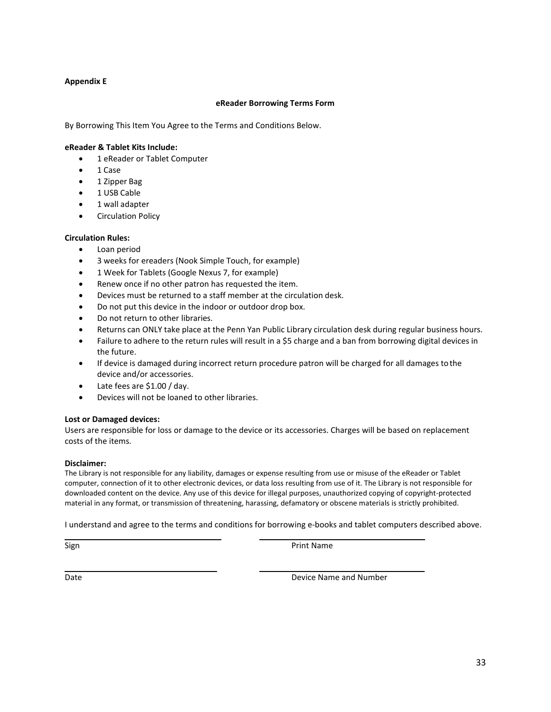#### **Appendix E**

#### **eReader Borrowing Terms Form**

By Borrowing This Item You Agree to the Terms and Conditions Below.

#### **eReader & Tablet Kits Include:**

- 1 eReader or Tablet Computer
- 1 Case
- 1 Zipper Bag
- 1 USB Cable
- 1 wall adapter
- Circulation Policy

#### **Circulation Rules:**

- Loan period
- 3 weeks for ereaders (Nook Simple Touch, for example)
- 1 Week for Tablets (Google Nexus 7, for example)
- Renew once if no other patron has requested the item.
- Devices must be returned to a staff member at the circulation desk.
- Do not put this device in the indoor or outdoor drop box.
- Do not return to other libraries.
- Returns can ONLY take place at the Penn Yan Public Library circulation desk during regular business hours.
- Failure to adhere to the return rules will result in a \$5 charge and a ban from borrowing digital devices in the future.
- If device is damaged during incorrect return procedure patron will be charged for all damages tothe device and/or accessories.
- Late fees are \$1.00 / day.
- Devices will not be loaned to other libraries.

#### **Lost or Damaged devices:**

Users are responsible for loss or damage to the device or its accessories. Charges will be based on replacement costs of the items.

#### **Disclaimer:**

The Library is not responsible for any liability, damages or expense resulting from use or misuse of the eReader or Tablet computer, connection of it to other electronic devices, or data loss resulting from use of it. The Library is not responsible for downloaded content on the device. Any use of this device for illegal purposes, unauthorized copying of copyright-protected material in any format, or transmission of threatening, harassing, defamatory or obscene materials is strictly prohibited.

I understand and agree to the terms and conditions for borrowing e-books and tablet computers described above.

Sign **Print Name** 

Date Device Name and Number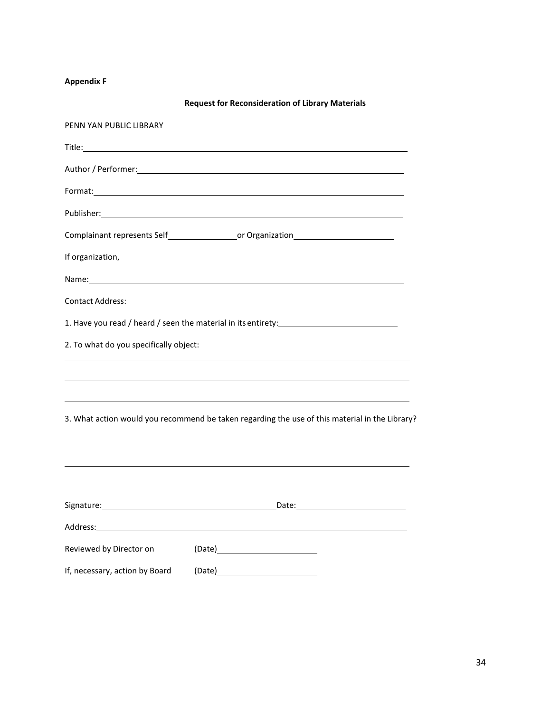## **Appendix F**

|                                         | <b>Request for Reconsideration of Library Materials</b>                                                                                                                                                                        |
|-----------------------------------------|--------------------------------------------------------------------------------------------------------------------------------------------------------------------------------------------------------------------------------|
| PENN YAN PUBLIC LIBRARY                 |                                                                                                                                                                                                                                |
|                                         |                                                                                                                                                                                                                                |
|                                         | Author / Performer: 2008 2009 2010 2020 2021 2022 2023 2024 2022 2023 2024 2022 2023 2024 2022 2023 2024 2022                                                                                                                  |
|                                         |                                                                                                                                                                                                                                |
|                                         | Publisher: with a state of the contract of the contract of the contract of the contract of the contract of the                                                                                                                 |
|                                         | Complainant represents Self_______________________or Organization________________                                                                                                                                              |
| If organization,                        |                                                                                                                                                                                                                                |
|                                         |                                                                                                                                                                                                                                |
|                                         |                                                                                                                                                                                                                                |
|                                         |                                                                                                                                                                                                                                |
| 2. To what do you specifically object:  |                                                                                                                                                                                                                                |
|                                         | <u> 1989 - Johann Stoff, amerikansk politiker (d. 1989)</u>                                                                                                                                                                    |
|                                         |                                                                                                                                                                                                                                |
|                                         | 3. What action would you recommend be taken regarding the use of this material in the Library?                                                                                                                                 |
|                                         |                                                                                                                                                                                                                                |
| Signature: Management of the Signature: |                                                                                                                                                                                                                                |
| Address:                                |                                                                                                                                                                                                                                |
| Reviewed by Director on                 | (Date)<br><u> 1980 - Johann Barbara, martxa amerikan per</u>                                                                                                                                                                   |
| If, necessary, action by Board          | (Date) and the contract of the contract of the contract of the contract of the contract of the contract of the contract of the contract of the contract of the contract of the contract of the contract of the contract of the |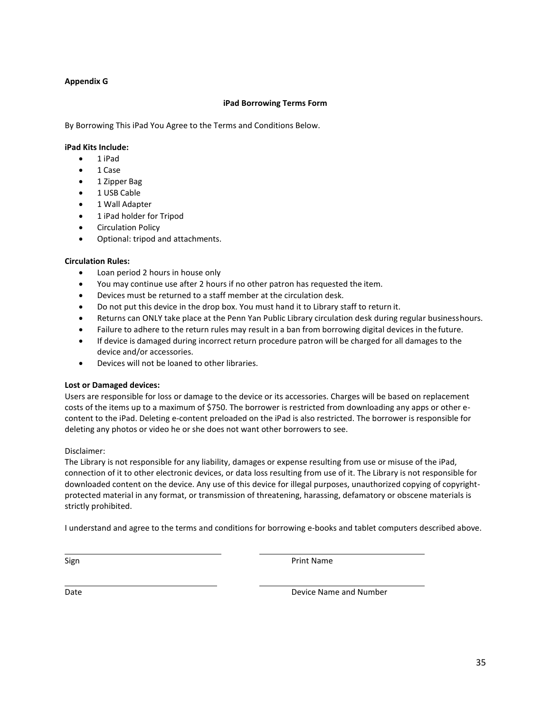#### **Appendix G**

#### **iPad Borrowing Terms Form**

By Borrowing This iPad You Agree to the Terms and Conditions Below.

#### **iPad Kits Include:**

- 1 iPad
- 1 Case
- 1 Zipper Bag
- 1 USB Cable
- 1 Wall Adapter
- 1 iPad holder for Tripod
- Circulation Policy
- Optional: tripod and attachments.

#### **Circulation Rules:**

- Loan period 2 hours in house only
- You may continue use after 2 hours if no other patron has requested the item.
- Devices must be returned to a staff member at the circulation desk.
- Do not put this device in the drop box. You must hand it to Library staff to return it.
- Returns can ONLY take place at the Penn Yan Public Library circulation desk during regular businesshours.
- Failure to adhere to the return rules may result in a ban from borrowing digital devices in the future.
- If device is damaged during incorrect return procedure patron will be charged for all damages to the device and/or accessories.
- Devices will not be loaned to other libraries.

#### **Lost or Damaged devices:**

Users are responsible for loss or damage to the device or its accessories. Charges will be based on replacement costs of the items up to a maximum of \$750. The borrower is restricted from downloading any apps or other econtent to the iPad. Deleting e-content preloaded on the iPad is also restricted. The borrower is responsible for deleting any photos or video he or she does not want other borrowers to see.

#### Disclaimer:

The Library is not responsible for any liability, damages or expense resulting from use or misuse of the iPad, connection of it to other electronic devices, or data loss resulting from use of it. The Library is not responsible for downloaded content on the device. Any use of this device for illegal purposes, unauthorized copying of copyrightprotected material in any format, or transmission of threatening, harassing, defamatory or obscene materials is strictly prohibited.

I understand and agree to the terms and conditions for borrowing e-books and tablet computers described above.

Sign Print Name

Date **Date Date Device Name and Number Device Name and Number**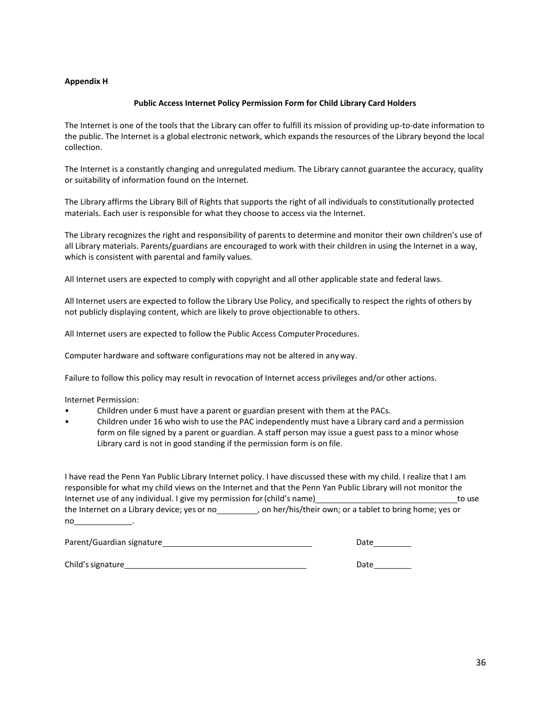#### **Appendix H**

#### **Public Access Internet Policy Permission Form for Child Library Card Holders**

The Internet is one of the tools that the Library can offer to fulfill its mission of providing up-to-date information to the public. The Internet is a global electronic network, which expands the resources of the Library beyond the local collection.

The Internet is a constantly changing and unregulated medium. The Library cannot guarantee the accuracy, quality or suitability of information found on the Internet.

The Library affirms the Library Bill of Rights that supports the right of all individuals to constitutionally protected materials. Each user is responsible for what they choose to access via the Internet.

The Library recognizes the right and responsibility of parents to determine and monitor their own children's use of all Library materials. Parents/guardians are encouraged to work with their children in using the Internet in a way, which is consistent with parental and family values.

All Internet users are expected to comply with copyright and all other applicable state and federal laws.

All Internet users are expected to follow the Library Use Policy, and specifically to respect the rights of others by not publicly displaying content, which are likely to prove objectionable to others.

All Internet users are expected to follow the Public Access Computer Procedures.

Computer hardware and software configurations may not be altered in anyway.

Failure to follow this policy may result in revocation of Internet access privileges and/or other actions.

#### Internet Permission:

- Children under 6 must have a parent or guardian present with them at the PACs.
- Children under 16 who wish to use the PAC independently must have a Library card and a permission form on file signed by a parent or guardian. A staff person may issue a guest pass to a minor whose Library card is not in good standing if the permission form is on file.

| I have read the Penn Yan Public Library Internet policy. I have discussed these with my child. I realize that I am<br>responsible for what my child views on the Internet and that the Penn Yan Public Library will not monitor the |        |  |  |
|-------------------------------------------------------------------------------------------------------------------------------------------------------------------------------------------------------------------------------------|--------|--|--|
| Internet use of any individual. I give my permission for (child's name)                                                                                                                                                             | to use |  |  |
| the Internet on a Library device; yes or no pher/his/their own; or a tablet to bring home; yes or                                                                                                                                   |        |  |  |
| no a contra contra un contra un contra un contra un contra un contra un contra un contra un contra un contra u                                                                                                                      |        |  |  |
| Parent/Guardian signature                                                                                                                                                                                                           | Date   |  |  |

| Child's signature | Date |
|-------------------|------|
|                   |      |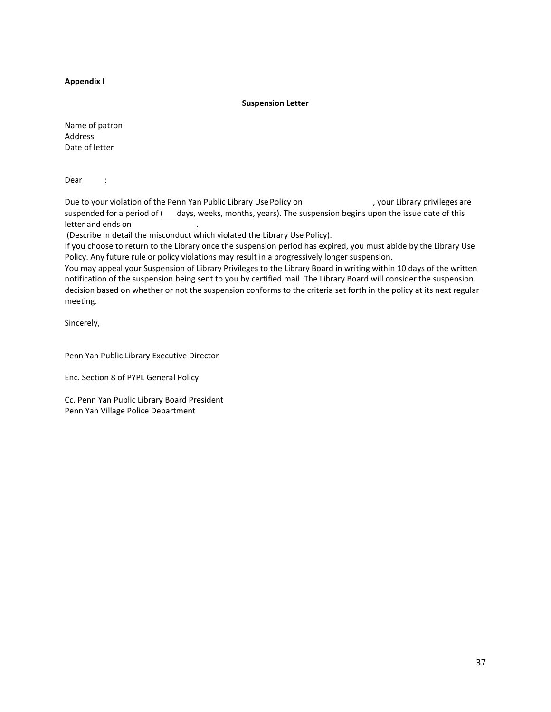#### **Appendix I**

#### **Suspension Letter**

Name of patron Address Date of letter

Dear :

Due to your violation of the Penn Yan Public Library Use Policy on *\_\_\_\_\_\_\_\_\_\_\_\_\_\_\_*, your Library privileges are suspended for a period of ( \_\_\_ days, weeks, months, years). The suspension begins upon the issue date of this letter and ends on

(Describe in detail the misconduct which violated the Library Use Policy).

If you choose to return to the Library once the suspension period has expired, you must abide by the Library Use Policy. Any future rule or policy violations may result in a progressively longer suspension.

You may appeal your Suspension of Library Privileges to the Library Board in writing within 10 days of the written notification of the suspension being sent to you by certified mail. The Library Board will consider the suspension decision based on whether or not the suspension conforms to the criteria set forth in the policy at its next regular meeting.

Sincerely,

Penn Yan Public Library Executive Director

Enc. Section 8 of PYPL General Policy

Cc. Penn Yan Public Library Board President Penn Yan Village Police Department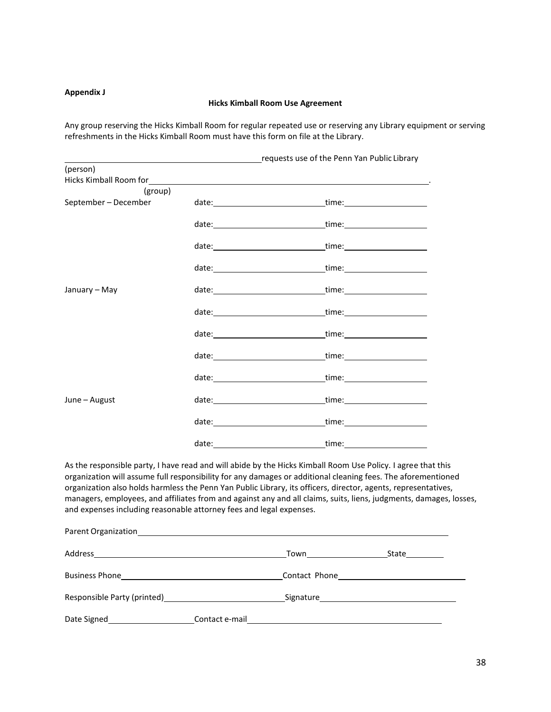#### **Appendix J**

#### **Hicks Kimball Room Use Agreement**

Any group reserving the Hicks Kimball Room for regular repeated use or reserving any Library equipment or serving refreshments in the Hicks Kimball Room must have this form on file at the Library.

|                                                                                                                 | requests use of the Penn Yan Public Library                                                                                                                                                                                                                                                                                                                                                                                                                 |       |
|-----------------------------------------------------------------------------------------------------------------|-------------------------------------------------------------------------------------------------------------------------------------------------------------------------------------------------------------------------------------------------------------------------------------------------------------------------------------------------------------------------------------------------------------------------------------------------------------|-------|
| (person)                                                                                                        |                                                                                                                                                                                                                                                                                                                                                                                                                                                             |       |
| Hicks Kimball Room for                                                                                          |                                                                                                                                                                                                                                                                                                                                                                                                                                                             |       |
| (group)                                                                                                         |                                                                                                                                                                                                                                                                                                                                                                                                                                                             |       |
| September - December                                                                                            | date: time: time:                                                                                                                                                                                                                                                                                                                                                                                                                                           |       |
|                                                                                                                 |                                                                                                                                                                                                                                                                                                                                                                                                                                                             |       |
|                                                                                                                 | date: time: time:                                                                                                                                                                                                                                                                                                                                                                                                                                           |       |
|                                                                                                                 | date: time:                                                                                                                                                                                                                                                                                                                                                                                                                                                 |       |
| January - May                                                                                                   |                                                                                                                                                                                                                                                                                                                                                                                                                                                             |       |
|                                                                                                                 | date: time: time:                                                                                                                                                                                                                                                                                                                                                                                                                                           |       |
|                                                                                                                 | date: time: time:                                                                                                                                                                                                                                                                                                                                                                                                                                           |       |
|                                                                                                                 | date: time: time:                                                                                                                                                                                                                                                                                                                                                                                                                                           |       |
|                                                                                                                 | date: time: time:                                                                                                                                                                                                                                                                                                                                                                                                                                           |       |
| June - August                                                                                                   | date: time: time:                                                                                                                                                                                                                                                                                                                                                                                                                                           |       |
|                                                                                                                 | date: time:                                                                                                                                                                                                                                                                                                                                                                                                                                                 |       |
|                                                                                                                 | date: time: time:                                                                                                                                                                                                                                                                                                                                                                                                                                           |       |
| and expenses including reasonable attorney fees and legal expenses.<br>Parent Organization                      | As the responsible party, I have read and will abide by the Hicks Kimball Room Use Policy. I agree that this<br>organization will assume full responsibility for any damages or additional cleaning fees. The aforementione<br>organization also holds harmless the Penn Yan Public Library, its officers, director, agents, representatives,<br>managers, employees, and affiliates from and against any and all claims, suits, liens, judgments, damages, |       |
|                                                                                                                 |                                                                                                                                                                                                                                                                                                                                                                                                                                                             |       |
| Address and the contract of the contract of the contract of the contract of the contract of the contract of the | <b>Town Example 19</b>                                                                                                                                                                                                                                                                                                                                                                                                                                      | State |
|                                                                                                                 |                                                                                                                                                                                                                                                                                                                                                                                                                                                             |       |

organization will assume full responsibility for any damages or additional cleaning fees. The aforementioned organization also holds harmless the Penn Yan Public Library, its officers, director, agents, representatives, managers, employees, and affiliates from and against any and all claims, suits, liens, judgments, damages, losses,

| Address               |                | Town                                                                                                                                                                                                                          | State |
|-----------------------|----------------|-------------------------------------------------------------------------------------------------------------------------------------------------------------------------------------------------------------------------------|-------|
| <b>Business Phone</b> |                | Contact Phone                                                                                                                                                                                                                 |       |
|                       |                | Signature and the state of the state of the state of the state of the state of the state of the state of the state of the state of the state of the state of the state of the state of the state of the state of the state of |       |
| Date Signed           | Contact e-mail |                                                                                                                                                                                                                               |       |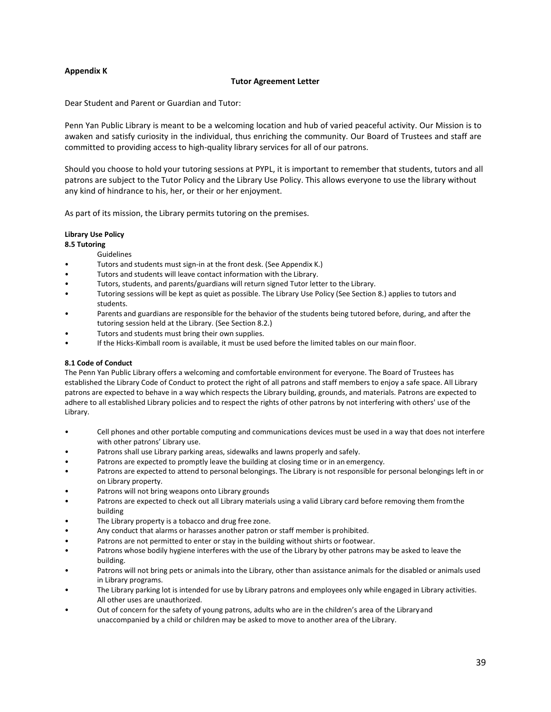#### **Appendix K**

#### **Tutor Agreement Letter**

Dear Student and Parent or Guardian and Tutor:

Penn Yan Public Library is meant to be a welcoming location and hub of varied peaceful activity. Our Mission is to awaken and satisfy curiosity in the individual, thus enriching the community. Our Board of Trustees and staff are committed to providing access to high-quality library services for all of our patrons.

Should you choose to hold your tutoring sessions at PYPL, it is important to remember that students, tutors and all patrons are subject to the Tutor Policy and the Library Use Policy. This allows everyone to use the library without any kind of hindrance to his, her, or their or her enjoyment.

As part of its mission, the Library permits tutoring on the premises.

#### **Library Use Policy**

**8.5 Tutoring**

Guidelines

- Tutors and students must sign-in at the front desk. (See Appendix K.)
- Tutors and students will leave contact information with the Library.
- Tutors, students, and parents/guardians will return signed Tutor letter to the Library.
- Tutoring sessions will be kept as quiet as possible. The Library Use Policy (See Section 8.) applies to tutors and students.
- Parents and guardians are responsible for the behavior of the students being tutored before, during, and after the tutoring session held at the Library. (See Section 8.2.)
- Tutors and students must bring their own supplies.
- If the Hicks-Kimball room is available, it must be used before the limited tables on our main floor.

#### **8.1 Code of Conduct**

The Penn Yan Public Library offers a welcoming and comfortable environment for everyone. The Board of Trustees has established the Library Code of Conduct to protect the right of all patrons and staff members to enjoy a safe space. All Library patrons are expected to behave in a way which respects the Library building, grounds, and materials. Patrons are expected to adhere to all established Library policies and to respect the rights of other patrons by not interfering with others' use of the Library.

- Cell phones and other portable computing and communications devices must be used in a way that does not interfere with other patrons' Library use.
- Patrons shall use Library parking areas, sidewalks and lawns properly and safely.
- Patrons are expected to promptly leave the building at closing time or in an emergency.
- Patrons are expected to attend to personal belongings. The Library is not responsible for personal belongings left in or on Library property.
- Patrons will not bring weapons onto Library grounds
- Patrons are expected to check out all Library materials using a valid Library card before removing them from the building
- The Library property is a tobacco and drug free zone.
- Any conduct that alarms or harasses another patron or staff member is prohibited.
- Patrons are not permitted to enter or stay in the building without shirts or footwear.
- Patrons whose bodily hygiene interferes with the use of the Library by other patrons may be asked to leave the building.
- Patrons will not bring pets or animals into the Library, other than assistance animals for the disabled or animals used in Library programs.
- The Library parking lot is intended for use by Library patrons and employees only while engaged in Library activities. All other uses are unauthorized.
- Out of concern for the safety of young patrons, adults who are in the children's area of the Libraryand unaccompanied by a child or children may be asked to move to another area of the Library.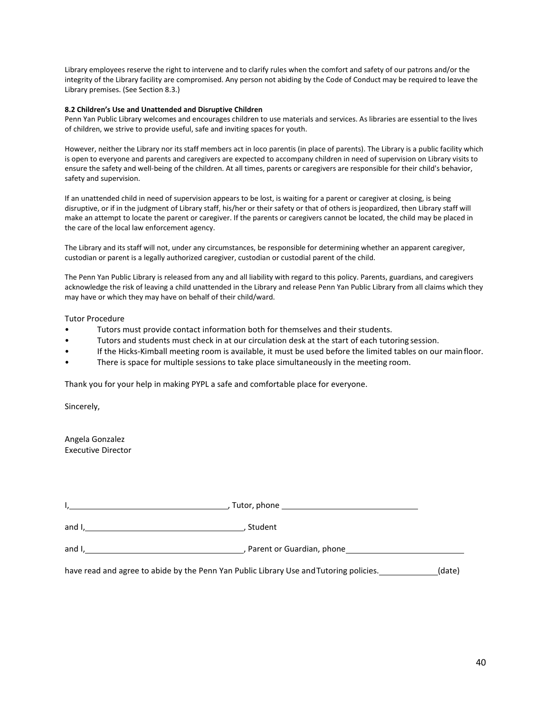Library employees reserve the right to intervene and to clarify rules when the comfort and safety of our patrons and/or the integrity of the Library facility are compromised. Any person not abiding by the Code of Conduct may be required to leave the Library premises. (See Section 8.3.)

#### **8.2 Children's Use and Unattended and Disruptive Children**

Penn Yan Public Library welcomes and encourages children to use materials and services. As libraries are essential to the lives of children, we strive to provide useful, safe and inviting spaces for youth.

However, neither the Library nor its staff members act in loco parentis (in place of parents). The Library is a public facility which is open to everyone and parents and caregivers are expected to accompany children in need of supervision on Library visits to ensure the safety and well-being of the children. At all times, parents or caregivers are responsible for their child's behavior, safety and supervision.

If an unattended child in need of supervision appears to be lost, is waiting for a parent or caregiver at closing, is being disruptive, or if in the judgment of Library staff, his/her or their safety or that of others is jeopardized, then Library staff will make an attempt to locate the parent or caregiver. If the parents or caregivers cannot be located, the child may be placed in the care of the local law enforcement agency.

The Library and its staff will not, under any circumstances, be responsible for determining whether an apparent caregiver, custodian or parent is a legally authorized caregiver, custodian or custodial parent of the child.

The Penn Yan Public Library is released from any and all liability with regard to this policy. Parents, guardians, and caregivers acknowledge the risk of leaving a child unattended in the Library and release Penn Yan Public Library from all claims which they may have or which they may have on behalf of their child/ward.

Tutor Procedure

- Tutors must provide contact information both for themselves and their students.
- Tutors and students must check in at our circulation desk at the start of each tutoring session.
- If the Hicks-Kimball meeting room is available, it must be used before the limited tables on our mainfloor.
- There is space for multiple sessions to take place simultaneously in the meeting room.

Thank you for your help in making PYPL a safe and comfortable place for everyone.

Sincerely,

Angela Gonzalez Executive Director

| and I.                                                                                                                                                                                                                                         | Student                                                                                                        |        |
|------------------------------------------------------------------------------------------------------------------------------------------------------------------------------------------------------------------------------------------------|----------------------------------------------------------------------------------------------------------------|--------|
| and I,<br><u>and the state of the state of the state of the state of the state of the state of the state of the state of the state of the state of the state of the state of the state of the state of the state of the state of the state</u> | , Parent or Guardian, phone by a state of the state of the state of the state of the state of the state of the |        |
|                                                                                                                                                                                                                                                | have read and agree to abide by the Penn Yan Public Library Use and Tutoring policies.                         | (date) |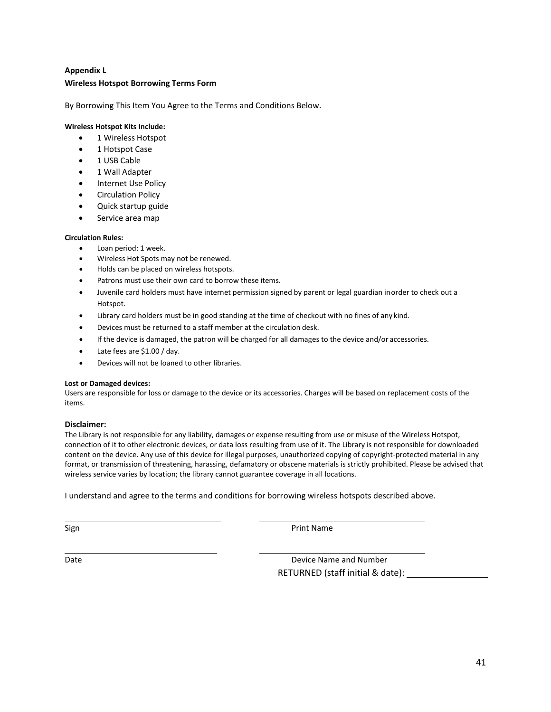## **Appendix L Wireless Hotspot Borrowing Terms Form**

By Borrowing This Item You Agree to the Terms and Conditions Below.

#### **Wireless Hotspot Kits Include:**

- 1 Wireless Hotspot
- 1 Hotspot Case
- 1 USB Cable
- 1 Wall Adapter
- Internet Use Policy
- Circulation Policy
- Quick startup guide
- Service area map

#### **Circulation Rules:**

- Loan period: 1 week.
- Wireless Hot Spots may not be renewed.
- Holds can be placed on wireless hotspots.
- Patrons must use their own card to borrow these items.
- Juvenile card holders must have internet permission signed by parent or legal guardian inorder to check out a Hotspot.
- Library card holders must be in good standing at the time of checkout with no fines of any kind.
- Devices must be returned to a staff member at the circulation desk.
- If the device is damaged, the patron will be charged for all damages to the device and/or accessories.
- Late fees are \$1.00 / day.
- Devices will not be loaned to other libraries.

#### **Lost or Damaged devices:**

Users are responsible for loss or damage to the device or its accessories. Charges will be based on replacement costs of the items.

#### **Disclaimer:**

The Library is not responsible for any liability, damages or expense resulting from use or misuse of the Wireless Hotspot, connection of it to other electronic devices, or data loss resulting from use of it. The Library is not responsible for downloaded content on the device. Any use of this device for illegal purposes, unauthorized copying of copyright-protected material in any format, or transmission of threatening, harassing, defamatory or obscene materials is strictly prohibited. Please be advised that wireless service varies by location; the library cannot guarantee coverage in all locations.

I understand and agree to the terms and conditions for borrowing wireless hotspots described above.

Sign Print Name

Date Device Name and Number RETURNED (staff initial & date):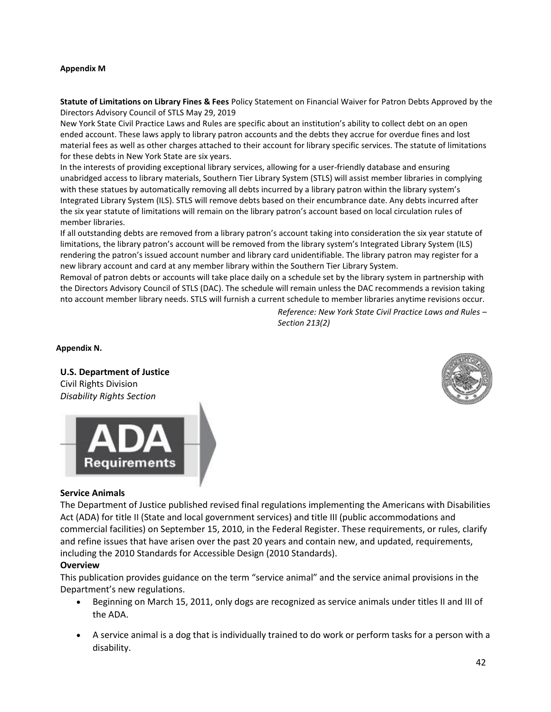#### **Appendix M**

**Statute of Limitations on Library Fines & Fees** Policy Statement on Financial Waiver for Patron Debts Approved by the Directors Advisory Council of STLS May 29, 2019

New York State Civil Practice Laws and Rules are specific about an institution's ability to collect debt on an open ended account. These laws apply to library patron accounts and the debts they accrue for overdue fines and lost material fees as well as other charges attached to their account for library specific services. The statute of limitations for these debts in New York State are six years.

In the interests of providing exceptional library services, allowing for a user-friendly database and ensuring unabridged access to library materials, Southern Tier Library System (STLS) will assist member libraries in complying with these statues by automatically removing all debts incurred by a library patron within the library system's Integrated Library System (ILS). STLS will remove debts based on their encumbrance date. Any debts incurred after the six year statute of limitations will remain on the library patron's account based on local circulation rules of member libraries.

If all outstanding debts are removed from a library patron's account taking into consideration the six year statute of limitations, the library patron's account will be removed from the library system's Integrated Library System (ILS) rendering the patron's issued account number and library card unidentifiable. The library patron may register for a new library account and card at any member library within the Southern Tier Library System.

Removal of patron debts or accounts will take place daily on a schedule set by the library system in partnership with the Directors Advisory Council of STLS (DAC). The schedule will remain unless the DAC recommends a revision taking nto account member library needs. STLS will furnish a current schedule to member libraries anytime revisions occur.

> *Reference: New York State Civil Practice Laws and Rules – Section 213(2)*

#### **Appendix N.**

**U.S. Department of Justice** Civil Rights Division *Disability Rights Section*



#### **Service Animals**

The Department of Justice published revised final regulations implementing the Americans with Disabilities Act (ADA) for title II (State and local government services) and title III (public accommodations and commercial facilities) on September 15, 2010, in the Federal Register. These requirements, or rules, clarify and refine issues that have arisen over the past 20 years and contain new, and updated, requirements, including the 2010 Standards for Accessible Design (2010 Standards).

#### **Overview**

This publication provides guidance on the term "service animal" and the service animal provisions in the Department's new regulations.

- Beginning on March 15, 2011, only dogs are recognized as service animals under titles II and III of the ADA.
- A service animal is a dog that is individually trained to do work or perform tasks for a person with a disability.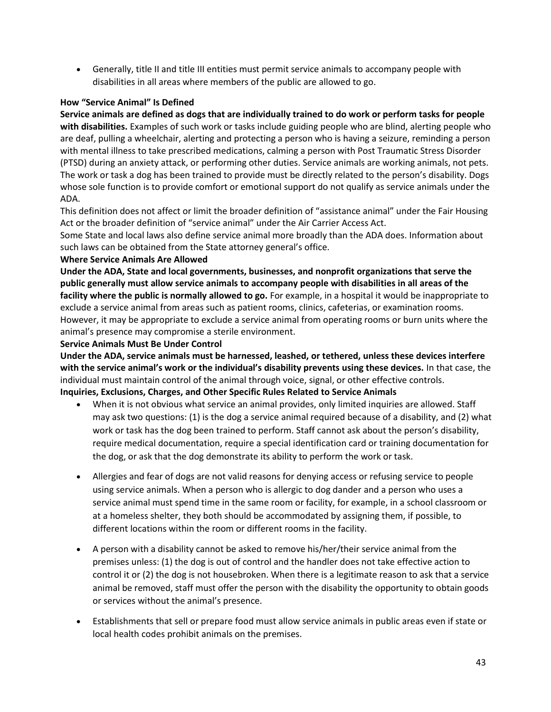• Generally, title II and title III entities must permit service animals to accompany people with disabilities in all areas where members of the public are allowed to go.

## **How "Service Animal" Is Defined**

**Service animals are defined as dogs that are individually trained to do work or perform tasks for people with disabilities.** Examples of such work or tasks include guiding people who are blind, alerting people who are deaf, pulling a wheelchair, alerting and protecting a person who is having a seizure, reminding a person with mental illness to take prescribed medications, calming a person with Post Traumatic Stress Disorder (PTSD) during an anxiety attack, or performing other duties. Service animals are working animals, not pets. The work or task a dog has been trained to provide must be directly related to the person's disability. Dogs whose sole function is to provide comfort or emotional support do not qualify as service animals under the ADA.

This definition does not affect or limit the broader definition of "assistance animal" under the Fair Housing Act or the broader definition of "service animal" under the Air Carrier Access Act.

Some State and local laws also define service animal more broadly than the ADA does. Information about such laws can be obtained from the State attorney general's office.

## **Where Service Animals Are Allowed**

**Under the ADA, State and local governments, businesses, and nonprofit organizations that serve the public generally must allow service animals to accompany people with disabilities in all areas of the facility where the public is normally allowed to go.** For example, in a hospital it would be inappropriate to exclude a service animal from areas such as patient rooms, clinics, cafeterias, or examination rooms. However, it may be appropriate to exclude a service animal from operating rooms or burn units where the animal's presence may compromise a sterile environment.

#### **Service Animals Must Be Under Control**

**Under the ADA, service animals must be harnessed, leashed, or tethered, unless these devices interfere with the service animal's work or the individual's disability prevents using these devices.** In that case, the individual must maintain control of the animal through voice, signal, or other effective controls. **Inquiries, Exclusions, Charges, and Other Specific Rules Related to Service Animals**

- When it is not obvious what service an animal provides, only limited inquiries are allowed. Staff may ask two questions: (1) is the dog a service animal required because of a disability, and (2) what work or task has the dog been trained to perform. Staff cannot ask about the person's disability, require medical documentation, require a special identification card or training documentation for the dog, or ask that the dog demonstrate its ability to perform the work or task.
- Allergies and fear of dogs are not valid reasons for denying access or refusing service to people using service animals. When a person who is allergic to dog dander and a person who uses a service animal must spend time in the same room or facility, for example, in a school classroom or at a homeless shelter, they both should be accommodated by assigning them, if possible, to different locations within the room or different rooms in the facility.
- A person with a disability cannot be asked to remove his/her/their service animal from the premises unless: (1) the dog is out of control and the handler does not take effective action to control it or (2) the dog is not housebroken. When there is a legitimate reason to ask that a service animal be removed, staff must offer the person with the disability the opportunity to obtain goods or services without the animal's presence.
- Establishments that sell or prepare food must allow service animals in public areas even if state or local health codes prohibit animals on the premises.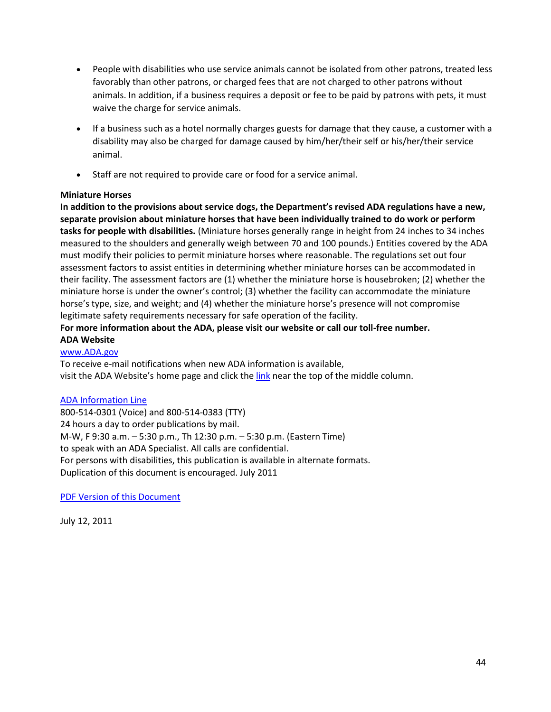- People with disabilities who use service animals cannot be isolated from other patrons, treated less favorably than other patrons, or charged fees that are not charged to other patrons without animals. In addition, if a business requires a deposit or fee to be paid by patrons with pets, it must waive the charge for service animals.
- If a business such as a hotel normally charges guests for damage that they cause, a customer with a disability may also be charged for damage caused by him/her/their self or his/her/their service animal.
- Staff are not required to provide care or food for a service animal.

## **Miniature Horses**

**In addition to the provisions about service dogs, the Department's revised ADA regulations have a new, separate provision about miniature horses that have been individually trained to do work or perform tasks for people with disabilities.** (Miniature horses generally range in height from 24 inches to 34 inches measured to the shoulders and generally weigh between 70 and 100 pounds.) Entities covered by the ADA must modify their policies to permit miniature horses where reasonable. The regulations set out four assessment factors to assist entities in determining whether miniature horses can be accommodated in their facility. The assessment factors are (1) whether the miniature horse is housebroken; (2) whether the miniature horse is under the owner's control; (3) whether the facility can accommodate the miniature horse's type, size, and weight; and (4) whether the miniature horse's presence will not compromise legitimate safety requirements necessary for safe operation of the facility.

## **For more information about the ADA, please visit our website or call our toll-free number. ADA Website**

#### [www.ADA.gov](http://www.ada.gov/)

To receive e-mail notifications when new ADA information is available, visit the ADA Website's home page and click the [link](https://www.ada.gov/index.html) near the top of the middle column.

## [ADA Information Line](https://www.ada.gov/infoline.htm)

800-514-0301 (Voice) and 800-514-0383 (TTY) 24 hours a day to order publications by mail. M-W, F 9:30 a.m. – 5:30 p.m., Th 12:30 p.m. – 5:30 p.m. (Eastern Time) to speak with an ADA Specialist. All calls are confidential. For persons with disabilities, this publication is available in alternate formats. Duplication of this document is encouraged. July 2011

[PDF Version of this Document](https://www.ada.gov/service_animals_2010.pdf)

July 12, 2011